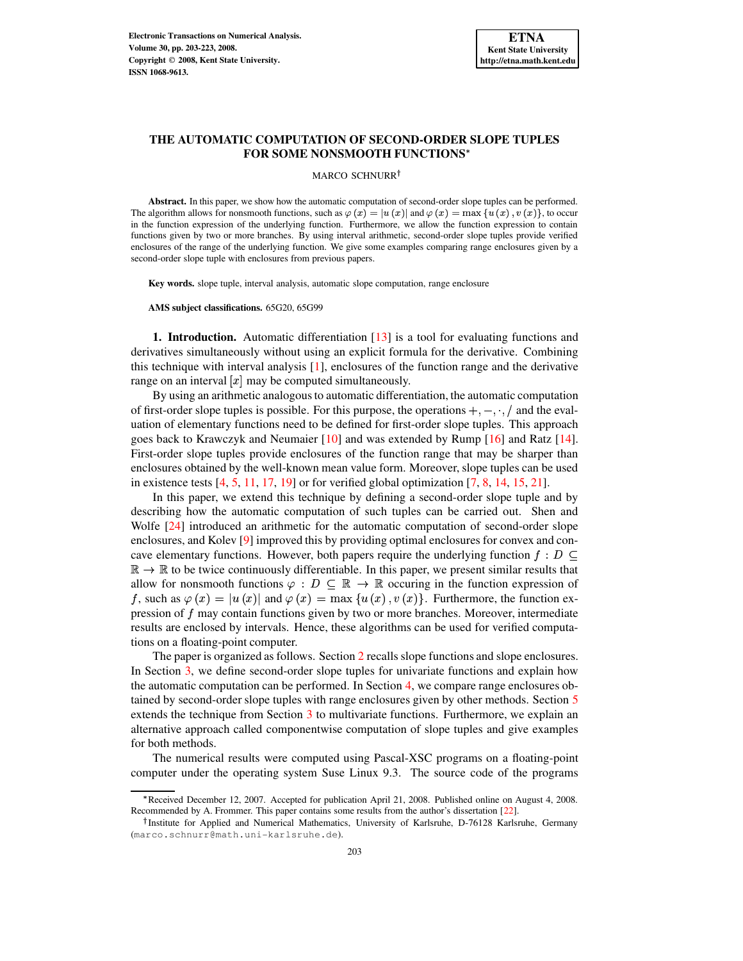# **THE AUTOMATIC COMPUTATION OF SECOND-ORDER SLOPE TUPLES FOR SOME NONSMOOTH FUNCTIONS**

### MARCO SCHNURR<sup>†</sup>

**Abstract.** In this paper, we show how the automatic computation of second-order slope tuples can be performed. The algorithm allows for nonsmooth functions, such as  $\varphi(x) = |u(x)|$  and  $\varphi(x) = \max\{u(x), v(x)\}\)$ , to occur in the function expression of the underlying function. Furthermore, we allow the function expression to contain functions given by two or more branches. By using interval arithmetic, second-order slope tuples provide verified enclosures of the range of the underlying function. We give some examples comparing range enclosures given by a second-order slope tuple with enclosures from previous papers.

**Key words.** slope tuple, interval analysis, automatic slope computation, range enclosure

**AMS subject classifications.** 65G20, 65G99

**1. Introduction.** Automatic differentiation [\[13\]](#page-19-0) is a tool for evaluating functions and derivatives simultaneously without using an explicit formula for the derivative. Combining this technique with interval analysis [\[1\]](#page-19-1), enclosures of the function range and the derivative range on an interval  $[x]$  may be computed simultaneously.

By using an arithmetic analogousto automatic differentiation, the automatic computation of first-order slope tuples is possible. For this purpose, the operations  $+, -, \cdot, /$  and the evaluation of elementary functions need to be defined for first-order slope tuples. This approach goes back to Krawczyk and Neumaier [\[10\]](#page-19-2) and was extended by Rump [\[16\]](#page-20-0) and Ratz [\[14\]](#page-19-3). First-order slope tuples provide enclosures of the function range that may be sharper than enclosures obtained by the well-known mean value form. Moreover, slope tuples can be used in existence tests  $[4, 5, 11, 17, 19]$  $[4, 5, 11, 17, 19]$  $[4, 5, 11, 17, 19]$  $[4, 5, 11, 17, 19]$  $[4, 5, 11, 17, 19]$  $[4, 5, 11, 17, 19]$  $[4, 5, 11, 17, 19]$  $[4, 5, 11, 17, 19]$  $[4, 5, 11, 17, 19]$  or for verified global optimization  $[7, 8, 14, 15, 21]$  $[7, 8, 14, 15, 21]$  $[7, 8, 14, 15, 21]$  $[7, 8, 14, 15, 21]$  $[7, 8, 14, 15, 21]$  $[7, 8, 14, 15, 21]$  $[7, 8, 14, 15, 21]$  $[7, 8, 14, 15, 21]$  $[7, 8, 14, 15, 21]$ .

In this paper, we extend this technique by defining a second-order slope tuple and by describing how the automatic computation of such tuples can be carried out. Shen and Wolfe [\[24\]](#page-20-5) introduced an arithmetic for the automatic computation of second-order slope enclosures, and Kolev [\[9\]](#page-19-9) improved this by providing optimal enclosures for convex and concave elementary functions. However, both papers require the underlying function  $f: D \subset$  $\mathbb{R} \to \mathbb{R}$  to be twice continuously differentiable. In this paper, we present similar results that allow for nonsmooth functions  $\varphi: D \subseteq \mathbb{R} \to \mathbb{R}$  occuring in the function expression of f, such as  $\varphi(x) = |u(x)|$  and  $\varphi(x) = \max\{u(x), v(x)\}\$ . Furthermore, the function expression of  $f$  may contain functions given by two or more branches. Moreover, intermediate results are enclosed by intervals. Hence, these algorithms can be used for verified computations on a floating-point computer.

The paper is organized as follows. Section [2](#page-1-0) recalls slope functions and slope enclosures. In Section [3,](#page-4-0) we define second-order slope tuples for univariate functions and explain how the automatic computation can be performed. In Section [4,](#page-13-0) we compare range enclosures obtained by second-order slope tuples with range enclosures given by other methods. Section [5](#page-15-0) extends the technique from Section [3](#page-4-0) to multivariate functions. Furthermore, we explain an alternative approach called componentwise computation of slope tuples and give examples for both methods.

The numerical results were computed using Pascal-XSC programs on a floating-point computer under the operating system Suse Linux 9.3. The source code of the programs

<sup>X</sup> Received December 12, 2007. Accepted for publication April 21, 2008. Published online on August 4, 2008. Recommended by A. Frommer. This paper contains some results from the author's dissertation [\[22\]](#page-20-6).

<sup>&</sup>lt;sup>†</sup>Institute for Applied and Numerical Mathematics, University of Karlsruhe, D-76128 Karlsruhe, Germany (marco.schnurr@math.uni-karlsruhe.de).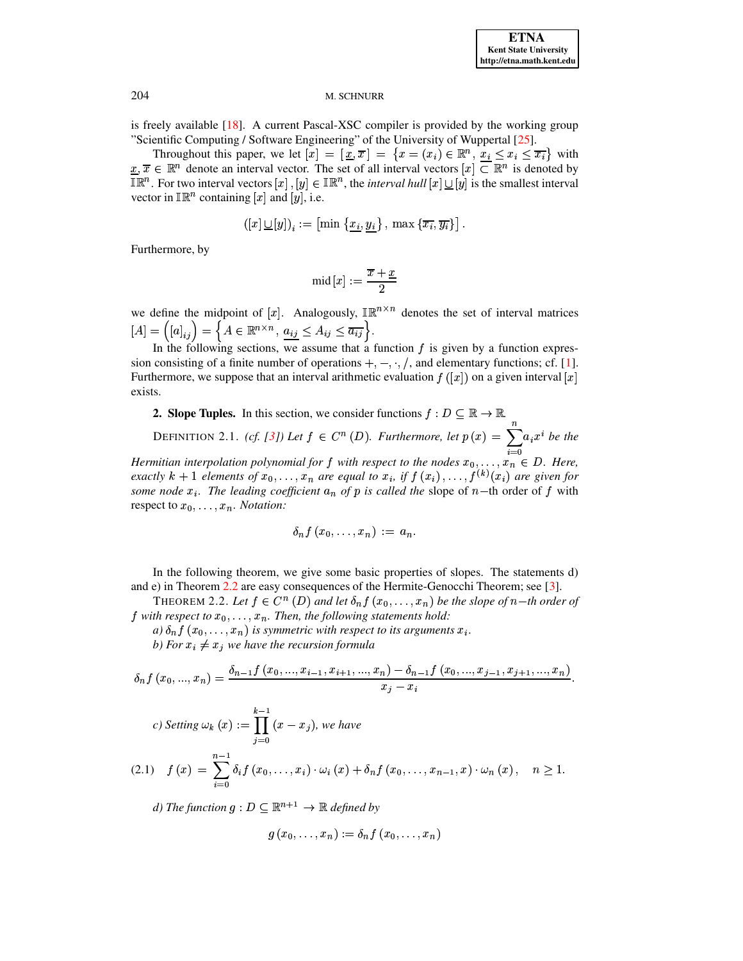is freely available [\[18\]](#page-20-7). A current Pascal-XSC compiler is provided by the working group "Scientific Computing / Software Engineering" of the University of Wuppertal [\[25\]](#page-20-8).

Throughout this paper, we let  $[x] = [\underline{x}, \overline{x}] = \{x = (x_i) \in \mathbb{R}^n, x_i \leq x_i \leq \overline{x_i}\}\$  with  $x, \overline{x} \in \mathbb{R}^n$  denote an interval vector. The set of all interval vectors  $[x] \subset \mathbb{R}^n$  is denoted by  $\mathbb{IR}^n$ . For two interval vectors  $[x]$  ,  $[y] \in \mathbb{IR}^n$ , the *interval hull*  $[x] \cup [y]$  is the smallest interval vector in  $\mathbb{IR}^n$  containing [x] and [y], i.e.

$$
\left(\left[x\right] \underline{\cup} \left[y\right]\right)_i := \left[\min\left\{\underline{x}_i, \underline{y}_i\right\}, \, \max\left\{\overline{x_i}, \overline{y_i}\right\}\right].
$$

Furthermore, by

$$
\text{mid}\left[x\right]:=\frac{\overline{x}+\underline{x}}{2}
$$

we define the midpoint of  $[x]$ . Analogously,  $\mathbb{IR}^{n \times n}$  denotes the set of interval matrices  $[A] = ([a]_{ii}) = \{ A \in \mathbb{R}^{n \times n}, \, a_{ij} \leq A_{ij} \leq \overline{a_{ij}} \}.$ 

<span id="page-1-0"></span>In the following sections, we assume that a function  $f$  is given by a function expression consisting of a finite number of operations  $+, -, \cdot, /$ , and elementary functions; cf. [\[1\]](#page-19-1). Furthermore, we suppose that an interval arithmetic evaluation  $f([x])$  on a given interval [x] exists.

**2. Slope Tuples.** In this section, we consider functions  $f: D \subseteq \mathbb{R} \to \mathbb{R}$ .

DEFINITION 2.1. *(cf.* [\[3\]](#page-19-10)) Let  $f \in C^n(D)$ . Furthermore, let  $p(x) = \sum_{i=1}^n a_i x^i$  be th  $\cdots$  $a_i x^i$  *be the* 

*Hermitian interpolation polynomial for* f with *respect* to the nodes  $x_0, \ldots, x_n \in D$ . Here, *exactly*  $k + 1$  *elements* of  $x_0, \ldots, x_n$  are equal to  $x_i$ , if  $f(x_i), \ldots, f^{(k)}(x_i)$  are given for *some* node  $x_i$ . The leading coefficient  $a_n$  of p is called the slope of  $n$ -th order of f with respect to  $x_0, \ldots, x_n$ . *Notation:* 

$$
\delta_n f(x_0,\ldots,x_n) \ := \ a_n.
$$

<span id="page-1-1"></span>In the following theorem, we give some basic properties of slopes. The statements d) and e) in Theorem [2.2](#page-1-1) are easy consequences of the Hermite-Genocchi Theorem; see [\[3\]](#page-19-10).<br>THEOREM 2.2. Let  $f \in C^n(D)$  and let  $\delta_n f(x_0, \ldots, x_n)$  be the slope of  $n-th$  order.

THEOREM 2.2. Let  $f \in C^n(D)$  and let  $\delta_n f(x_0, \ldots, x_n)$  be the slope of  $n$ -th order of *f* with respect to  $x_0, \ldots, x_n$ . Then, the following statements hold:<br> *a*)  $\delta_n f(x_0, \ldots, x_n)$  is symmetric with respect to its argument.

 $(a)$   $\delta_n f(x_0, \ldots, x_n)$  is symmetric with respect to its arguments  $x_i$ .

*b)* For  $x_i \neq x_j$  we have the recursion formula<br>  $\delta$ <sup>{</sup>  $f(x_0 - x_i)$ }

$$
\delta_n f(x_0, ..., x_n) = \frac{\delta_{n-1} f(x_0, ..., x_{i-1}, x_{i+1}, ..., x_n) - \delta_{n-1} f(x_0, ..., x_{j-1}, x_{j+1}, ..., x_n)}{x_j - x_i}.
$$

c) Setting 
$$
\omega_k(x) := \prod_{j=0}^{k-1} (x - x_j)
$$
, we have

$$
(2.1) \t f(x) = \sum_{i=0}^{n-1} \delta_i f(x_0, \ldots, x_i) \cdot \omega_i(x) + \delta_n f(x_0, \ldots, x_{n-1}, x) \cdot \omega_n(x), \quad n \ge 1.
$$

*d) The function*  $g: D \subseteq \mathbb{R}^{n+1} \rightarrow \mathbb{R}$  *defined by* 

$$
g(x_0,\ldots,x_n):=\delta_n f(x_0,\ldots,x_n)
$$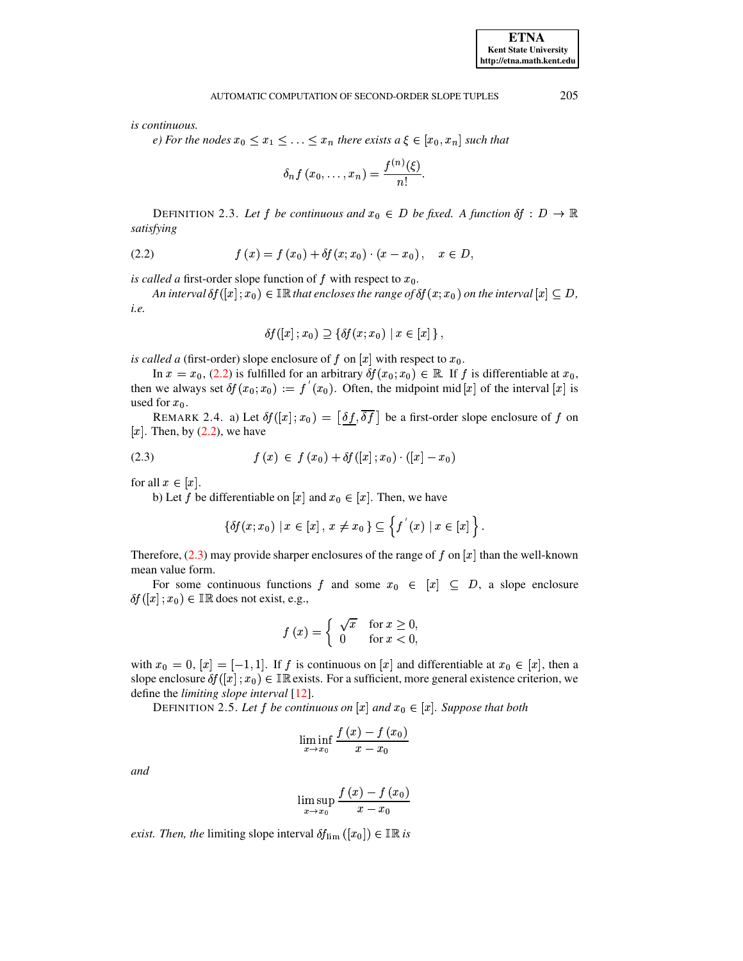is continuous.

e) For the nodes  $x_0 \le x_1 \le \ldots \le x_n$  there exists  $a \xi \in [x_0, x_n]$  such that

$$
\delta_n f(x_0,\ldots,x_n)=\frac{f^{(n)}(\xi)}{n!}.
$$

<span id="page-2-0"></span>DEFINITION 2.3. Let f be continuous and  $x_0 \in D$  be fixed. A function  $\delta f : D \to \mathbb{R}$ satisfying

(2.2) 
$$
f(x) = f(x_0) + \delta f(x; x_0) \cdot (x - x_0), \quad x \in D,
$$

is called a first-order slope function of  $f$  with respect to  $x_0$ .

An interval  $\delta f([x]; x_0) \in \mathbb{IR}$  that encloses the range of  $\delta f(x; x_0)$  on the interval  $[x] \subseteq D$ , i.e.

$$
\delta f([x]; x_0) \supseteq {\delta f(x; x_0) | x \in [x]}
$$

is called a (first-order) slope enclosure of f on  $[x]$  with respect to  $x_0$ .

In  $x = x_0$ , (2.2) is fulfilled for an arbitrary  $\delta f(x_0; x_0) \in \mathbb{R}$ . If f is differentiable at  $x_0$ , then we always set  $\delta f(x_0; x_0) := f'(x_0)$ . Often, the midpoint mid [x] of the interval [x] is used for  $x_0$ .

<span id="page-2-1"></span>REMARK 2.4. a) Let  $\delta f([x]; x_0) = [\delta f, \overline{\delta f}]$  be a first-order slope enclosure of f on [x]. Then, by  $(2.2)$ , we have

(2.3) 
$$
f(x) \in f(x_0) + \delta f([x]; x_0) \cdot ([x] - x_0)
$$

for all  $x \in [x]$ .

b) Let f be differentiable on [x] and  $x_0 \in [x]$ . Then, we have

$$
\{\delta f(x;x_0) \mid x \in [x], \ x \neq x_0\} \subseteq \left\{f'(x) \mid x \in [x]\right\}.
$$

Therefore, (2.3) may provide sharper enclosures of the range of f on  $[x]$  than the well-known mean value form.

For some continuous functions f and some  $x_0 \in [x] \subseteq D$ , a slope enclosure  $\delta f([x]; x_0) \in \mathbb{IR}$  does not exist, e.g.,

$$
f(x) = \begin{cases} \sqrt{x} & \text{for } x \ge 0, \\ 0 & \text{for } x < 0, \end{cases}
$$

with  $x_0 = 0$ ,  $[x] = [-1, 1]$ . If f is continuous on  $[x]$  and differentiable at  $x_0 \in [x]$ , then a slope enclosure  $\delta f([x]; x_0) \in \mathbb{IR}$  exists. For a sufficient, more general existence criterion, we define the limiting slope interval [12].

DEFINITION 2.5. Let f be continuous on [x] and  $x_0 \in [x]$ . Suppose that both

$$
\liminf_{x\to x_0}\frac{f\left(x\right)-f\left(x_0\right)}{x-x_0}
$$

and

$$
\limsup_{x\to x_0}\frac{f\left(x\right)-f\left(x_0\right)}{x-x_0}
$$

*exist. Then, the limiting slope interval*  $\delta f_{\text{lim}}([x_0]) \in \mathbb{R}$  *is*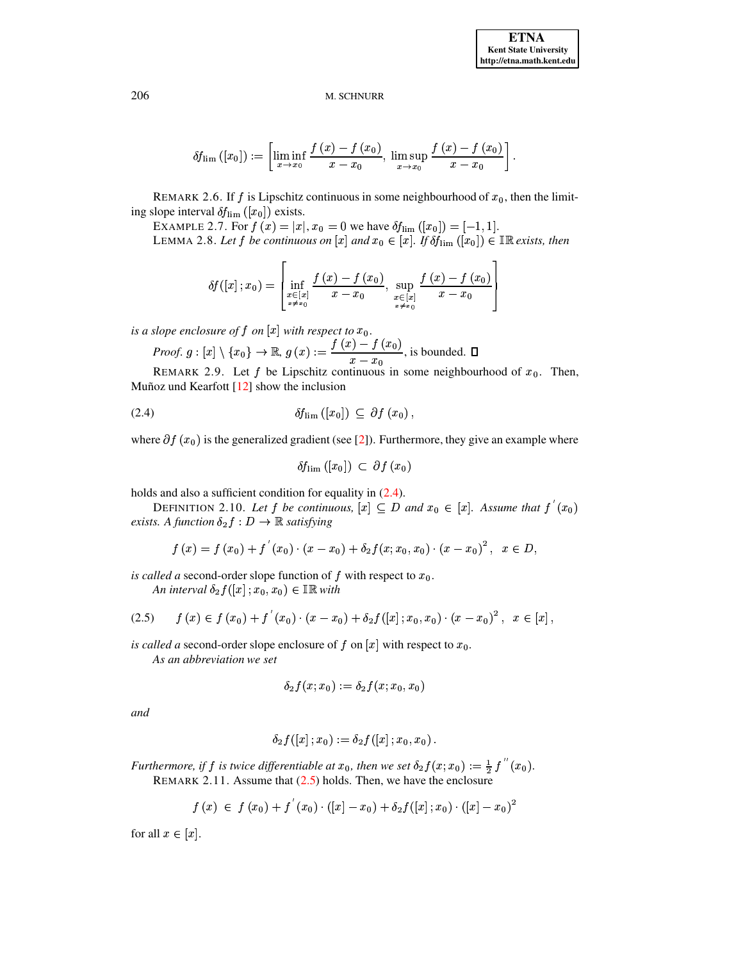$$
\delta f_{\text{lim}}\left([x_0]\right):=\left[\liminf_{x\to x_0}\frac{f\left(x\right)-f\left(x_0\right)}{x-x_0},\ \limsup_{x\to x_0}\frac{f\left(x\right)-f\left(x_0\right)}{x-x_0}\right]
$$

REMARK 2.6. If f is Lipschitz continuous in some neighbourhood of  $x_0$ , then the limiting slope interval  $\delta f_{\rm lim}([x_0])$  exists.

EXAMPLE 2.7. For  $f(x) = |x|, x_0 = 0$  we have  $\delta f_{\text{lim}}([x_0]) = [-1, 1].$ LEMMA 2.8. Let f be continuous on [x] and  $x_0 \in [x]$ . If  $\delta f_{\text{lim}}([x_0]) \in \mathbb{IR}$  exists, then

$$
\delta f([x]; x_0) = \left[ \inf_{\substack{x \in [x] \\ x \neq x_0}} \frac{f(x) - f(x_0)}{x - x_0}, \sup_{\substack{x \in [x] \\ x \neq x_0}} \frac{f(x) - f(x_0)}{x - x_0} \right]
$$

is a slope enclosure of  $f$  on  $[x]$  with respect to  $x_0$ .

*Proof.* 
$$
g: [x] \setminus \{x_0\} \to \mathbb{R}, g(x) := \frac{f(x) - f(x_0)}{x - x_0}
$$
, is bounded.  $\Box$ 

REMARK 2.9. Let  $f$  be Lipschitz continuous in some neighbourhood of  $x_0$ . Then, Muñoz und Kearfott  $[12]$  show the inclusion

$$
\delta f_{\rm lim}([x_0]) \subseteq \partial f(x_0),
$$

where  $\partial f(x_0)$  is the generalized gradient (see [2]). Furthermore, they give an example where

<span id="page-3-0"></span>
$$
\delta f_{\text{lim}}\left([x_0]\right) \,\subset\, \partial f\left(x_0\right)
$$

holds and also a sufficient condition for equality in  $(2.4)$ .

DEFINITION 2.10. Let f be continuous,  $[x] \subseteq D$  and  $x_0 \in [x]$ . Assume that  $f'(x_0)$ exists. A function  $\delta_2 f : D \to \mathbb{R}$  satisfying

<span id="page-3-1"></span>
$$
f(x) = f(x_0) + f'(x_0) \cdot (x - x_0) + \delta_2 f(x; x_0, x_0) \cdot (x - x_0)^2, \ \ x \in D,
$$

is called a second-order slope function of f with respect to  $x_0$ . An interval  $\delta_2 f([x]; x_0, x_0) \in \mathbb{IR}$  with

$$
(2.5) \t f(x) \in f(x_0) + f'(x_0) \cdot (x - x_0) + \delta_2 f([x]; x_0, x_0) \cdot (x - x_0)^2, \t x \in [x],
$$

is called a second-order slope enclosure of f on  $[x]$  with respect to  $x_0$ .

As an abbreviation we set

$$
\delta_2 f(x;x_0) \mathrel{\mathop:}= \delta_2 f(x;x_0,x_0)
$$

and

$$
\delta_2 f([x]\,;x_0):=\delta_2 f([x]\,;x_0,x_0)
$$

Furthermore, if f is twice differentiable at  $x_0$ , then we set  $\delta_2 f(x; x_0) := \frac{1}{2} f''(x_0)$ . REMARK 2.11. Assume that  $(2.5)$  holds. Then, we have the enclosure

$$
f(x) \in f(x_0) + f'(x_0) \cdot ([x] - x_0) + \delta_2 f([x]; x_0) \cdot ([x] - x_0)^2
$$

for all  $x \in [x]$ .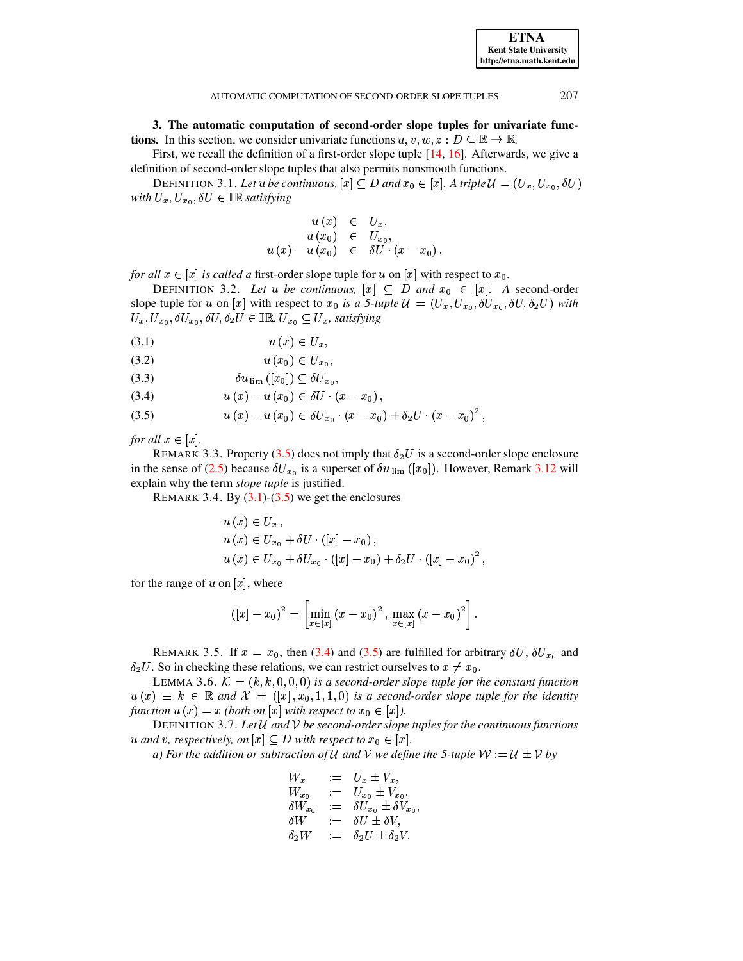<span id="page-4-0"></span>3. The automatic computation of second-order slope tuples for univariate func**tions.** In this section, we consider univariate functions  $u, v, w, z : D \subseteq \mathbb{R} \to \mathbb{R}$ .

First, we recall the definition of a first-order slope tuple [14, 16]. Afterwards, we give a definition of second-order slope tuples that also permits nonsmooth functions.

DEFINITION 3.1. Let u be continuous,  $[x] \subseteq D$  and  $x_0 \in [x]$ . A triple  $\mathcal{U} = (U_x, U_{x_0}, \delta U)$ with  $U_x, U_{x_0}, \delta U \in \mathbb{IR}$  satisfying

$$
u(x) \in U_x,
$$
  
\n
$$
u(x_0) \in U_{x_0},
$$
  
\n
$$
u(x) - u(x_0) \in \delta U \cdot (x - x_0),
$$

<span id="page-4-4"></span>for all  $x \in [x]$  is called a first-order slope tuple for u on  $[x]$  with respect to  $x_0$ .

DEFINITION 3.2. Let u be continuous,  $[x] \subseteq D$  and  $x_0 \in [x]$ . A second-order slope tuple for u on [x] with respect to  $x_0$  is a 5-tuple  $\mathcal{U} = (U_x, U_{x_0}, \delta U_{x_0}, \delta U, \delta_2 U)$  with  $U_x, U_{x_0}, \delta U_{x_0}, \delta U, \delta_2 U \in \mathbb{IR}, U_{x_0} \subseteq U_x$ , satisfying

<span id="page-4-1"></span>
$$
(3.1) \t\t u(x) \in U_x,
$$

$$
(3.2) \t\t u(x_0) \in U_{x_0},
$$

$$
(3.3) \t\t \delta u_{\rm lim}([x_0]) \subseteq \delta U_{x_0},
$$

 $u(x) - u(x_0) \in \delta U \cdot (x - x_0),$  $(3.4)$ 

(3.5) 
$$
u(x) - u(x_0) \in \delta U_{x_0} \cdot (x - x_0) + \delta_2 U \cdot (x - x_0)^2
$$

for all  $x \in [x]$ .

<span id="page-4-5"></span>REMARK 3.3. Property (3.5) does not imply that  $\delta_2 U$  is a second-order slope enclosure in the sense of (2.5) because  $\delta U_{x_0}$  is a superset of  $\delta u$ <sub>lim</sub> ([x<sub>0</sub>]). However, Remark 3.12 will explain why the term *slope tuple* is justified.

REMARK 3.4. By  $(3.1)$ - $(3.5)$  we get the enclosures

$$
u(x) \in U_x, u(x) \in U_{x_0} + \delta U \cdot ([x] - x_0), u(x) \in U_{x_0} + \delta U_{x_0} \cdot ([x] - x_0) + \delta_2 U \cdot ([x] - x_0)^2,
$$

for the range of u on  $[x]$ , where

$$
([x] - x_0)^2 = \left[ \min_{x \in [x]} (x - x_0)^2 , \max_{x \in [x]} (x - x_0)^2 \right].
$$

REMARK 3.5. If  $x = x_0$ , then (3.4) and (3.5) are fulfilled for arbitrary  $\delta U$ ,  $\delta U_{x_0}$  and  $\delta_2 U$ . So in checking these relations, we can restrict ourselves to  $x \neq x_0$ .

<span id="page-4-3"></span>LEMMA 3.6.  $\mathcal{K} = (k, k, 0, 0, 0)$  is a second-order slope tuple for the constant function  $u(x) \equiv k \in \mathbb{R}$  and  $\mathcal{X} = ([x], x_0, 1, 1, 0)$  is a second-order slope tuple for the identity function  $u(x) = x$  (both on  $[x]$  with respect to  $x_0 \in [x]$ ).

<span id="page-4-2"></span>DEFINITION 3.7. Let  $U$  and  $V$  be second-order slope tuples for the continuous functions u and v, respectively, on  $[x] \subseteq D$  with respect to  $x_0 \in [x]$ .

a) For the addition or subtraction of U and V we define the 5-tuple  $W := U \pm V$  by

$$
W_x := U_x \pm V_x,
$$
  
\n
$$
W_{x_0} := U_{x_0} \pm V_{x_0},
$$
  
\n
$$
\delta W_{x_0} := \delta U_{x_0} \pm \delta V_{x_0},
$$
  
\n
$$
\delta W := \delta U \pm \delta V,
$$
  
\n
$$
\delta_2 W := \delta_2 U \pm \delta_2 V.
$$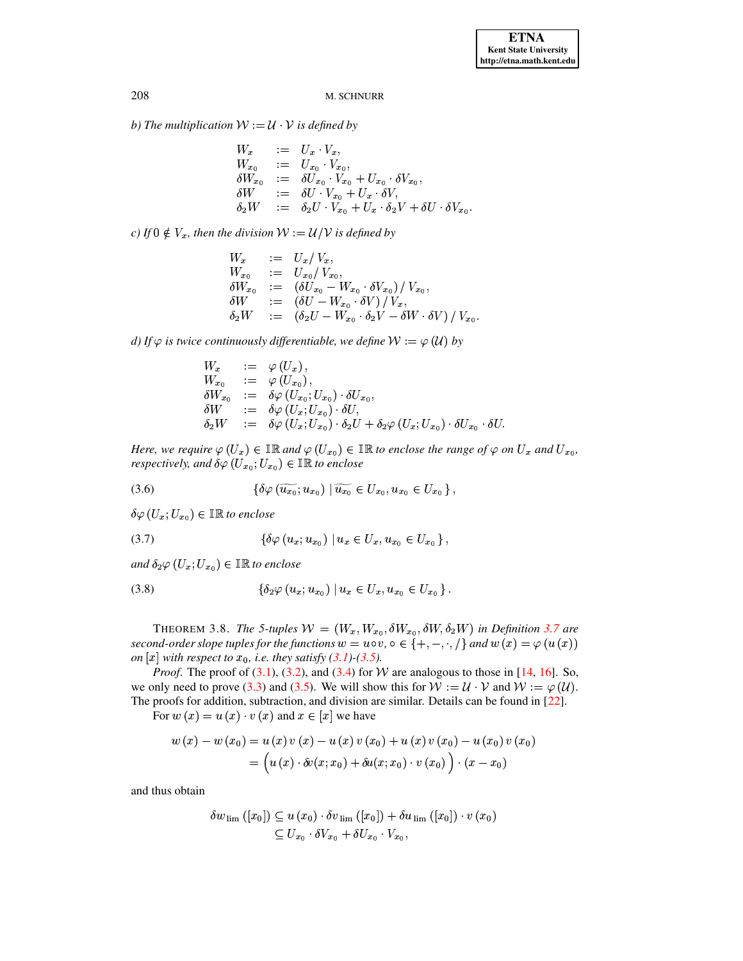b) The multiplication  $W := U \cdot V$  is defined by

$$
W_x := U_x \cdot V_x,
$$
  
\n
$$
W_{x_0} := U_{x_0} \cdot V_{x_0},
$$
  
\n
$$
\delta W_{x_0} := \delta U_{x_0} \cdot V_{x_0} + U_{x_0} \cdot \delta V_{x_0},
$$
  
\n
$$
\delta W := \delta U \cdot V_{x_0} + U_x \cdot \delta V,
$$
  
\n
$$
\delta_2 W := \delta_2 U \cdot V_{x_0} + U_x \cdot \delta_2 V + \delta U \cdot \delta V_{x_0}
$$

c) If  $0 \notin V_x$ , then the division  $W := U/V$  is defined by

$$
W_x := U_x / V_x,
$$
  
\n
$$
W_{x_0} := U_{x_0} / V_{x_0},
$$
  
\n
$$
\delta W_{x_0} := (\delta U_{x_0} - W_{x_0} \cdot \delta V_{x_0}) / V_{x_0},
$$
  
\n
$$
\delta W := (\delta U - W_{x_0} \cdot \delta V) / V_x,
$$
  
\n
$$
\delta_2 W := (\delta_2 U - W_{x_0} \cdot \delta_2 V - \delta W \cdot \delta V) / V_{x_0}
$$

d) If  $\varphi$  is twice continuously differentiable, we define  $W := \varphi(U)$  by

<span id="page-5-0"></span>
$$
W_x := \varphi(U_x),
$$
  
\n
$$
W_{x_0} := \varphi(U_{x_0}),
$$
  
\n
$$
\delta W_{x_0} := \delta \varphi(U_{x_0}; U_{x_0}) \cdot \delta U_{x_0},
$$
  
\n
$$
\delta W := \delta \varphi(U_x; U_{x_0}) \cdot \delta U,
$$
  
\n
$$
\delta_2 W := \delta \varphi(U_x; U_{x_0}) \cdot \delta_2 U + \delta_2 \varphi(U_x; U_{x_0}) \cdot \delta U_{x_0} \cdot \delta U
$$

Here, we require  $\varphi(U_x) \in \mathbb{IR}$  and  $\varphi(U_{x_0}) \in \mathbb{IR}$  to enclose the range of  $\varphi$  on  $U_x$  and  $U_{x_0}$ , respectively, and  $\delta\varphi(U_{x_0};U_{x_0})\in\mathbb{IR}$  to enclose

$$
(3.6) \qquad \qquad \{ \delta \varphi\left(\widetilde{u_{x_0}}; u_{x_0}\right) \mid \widetilde{u_{x_0}} \in U_{x_0}, u_{x_0} \in U_{x_0} \}.
$$

<span id="page-5-2"></span> $\delta\varphi\left(U_x;U_{x_0}\right)\in\mathbb{IR}$  to enclose

$$
(3.7) \qquad \{ \delta \varphi (u_x; u_{x_0}) \mid u_x \in U_x, u_{x_0} \in U_{x_0} \},
$$

<span id="page-5-1"></span>and  $\delta_2\varphi$   $(U_x; U_{x_0}) \in \mathbb{IR}$  to enclose

$$
(3.8) \qquad \{ \delta_2 \varphi (u_x; u_{x_0}) \mid u_x \in U_x, u_{x_0} \in U_{x_0} \}.
$$

<span id="page-5-3"></span>THEOREM 3.8. The 5-tuples  $W = (W_x, W_{x_0}, \delta W_{x_0}, \delta W, \delta_2 W)$  in Definition 3.7 are second-order slope tuples for the functions  $w = u \circ v$ ,  $\circ \in \{+, -, \cdot, /\}$  and  $w(x) = \varphi(u(x))$ on  $[x]$  with respect to  $x_0$ , i.e. they satisfy (3.1)-(3.5).

*Proof.* The proof of (3.1), (3.2), and (3.4) for W are analogous to those in [14, 16]. So, we only need to prove (3.3) and (3.5). We will show this for  $W := U \cdot V$  and  $W := \varphi(U)$ . The proofs for addition, subtraction, and division are similar. Details can be found in  $[22]$ .

For  $w(x) = u(x) \cdot v(x)$  and  $x \in [x]$  we have

$$
w(x) - w(x_0) = u(x) v(x) - u(x) v(x_0) + u(x) v(x_0) - u(x_0) v(x_0)
$$
  
=  $(u(x) \cdot \delta v(x; x_0) + \delta u(x; x_0) \cdot v(x_0)) \cdot (x - x_0)$ 

and thus obtain

$$
\delta w_{\text{lim}}([x_0]) \subseteq u(x_0) \cdot \delta v_{\text{lim}}([x_0]) + \delta u_{\text{lim}}([x_0]) \cdot v(x_0)
$$
  

$$
\subseteq U_{x_0} \cdot \delta V_{x_0} + \delta U_{x_0} \cdot V_{x_0},
$$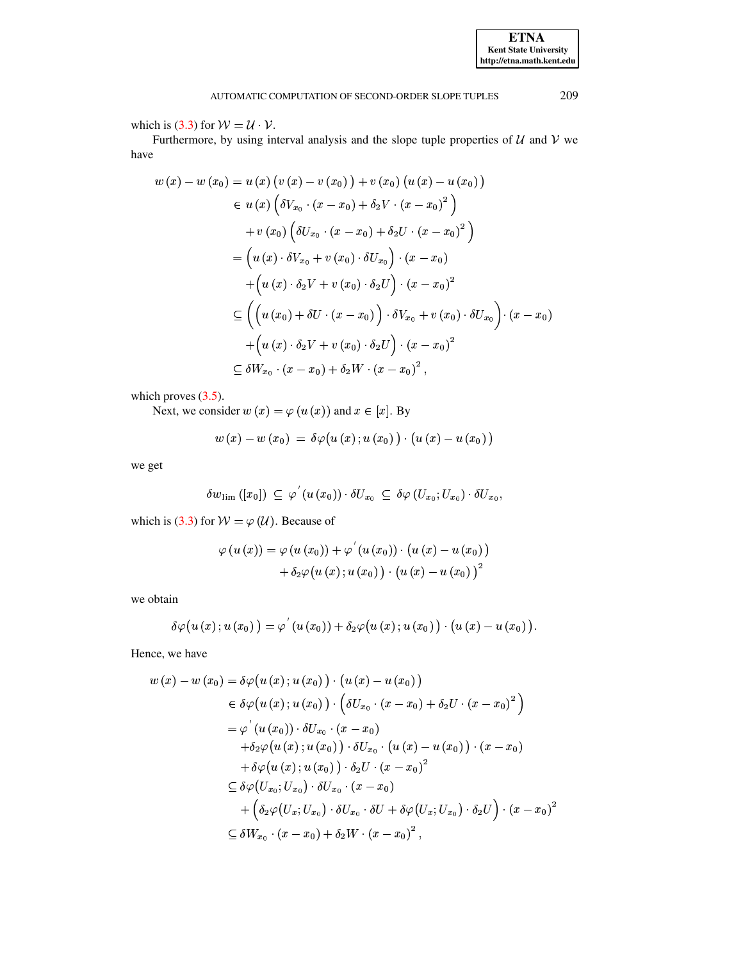which is (3.3) for  $W = U \cdot V$ .

Furthermore, by using interval analysis and the slope tuple properties of  $U$  and  $V$  we have

$$
w(x) - w(x_0) = u(x) (v(x) - v(x_0)) + v(x_0) (u(x) - u(x_0))
$$
  
\n
$$
\in u(x) (\delta V_{x_0} \cdot (x - x_0) + \delta_2 V \cdot (x - x_0)^2)
$$
  
\n
$$
+ v(x_0) (\delta U_{x_0} \cdot (x - x_0) + \delta_2 U \cdot (x - x_0)^2)
$$
  
\n
$$
= (u(x) \cdot \delta V_{x_0} + v(x_0) \cdot \delta U_{x_0}) \cdot (x - x_0)
$$
  
\n
$$
+ (u(x) \cdot \delta_2 V + v(x_0) \cdot \delta_2 U) \cdot (x - x_0)^2
$$
  
\n
$$
\subseteq \left( (u(x_0) + \delta U \cdot (x - x_0)) \cdot \delta V_{x_0} + v(x_0) \cdot \delta U_{x_0} \right) \cdot (x - x_0)
$$
  
\n
$$
+ (u(x) \cdot \delta_2 V + v(x_0) \cdot \delta_2 U) \cdot (x - x_0)^2
$$
  
\n
$$
\subseteq \delta W_{x_0} \cdot (x - x_0) + \delta_2 W \cdot (x - x_0)^2,
$$

which proves  $(3.5)$ .

Next, we consider  $w(x) = \varphi(u(x))$  and  $x \in [x]$ . By

$$
w\left(x\right)-w\left(x_{0}\right) \;=\; \delta\varphi\big(u\left(x\right);u\left(x_{0}\right)\big)\cdot\big(u\left(x\right)-u\left(x_{0}\right)\big)
$$

we get

$$
\delta w_{\text{lim}}([x_0]) \subseteq \varphi'(u(x_0)) \cdot \delta U_{x_0} \subseteq \delta \varphi(U_{x_0}; U_{x_0}) \cdot \delta U_{x_0},
$$

which is (3.3) for  $W = \varphi(\mathcal{U})$ . Because of

$$
\varphi\left(u\left(x\right)\right)=\varphi\left(u\left(x_{0}\right)\right)+\varphi^{'}\left(u\left(x_{0}\right)\right)\cdot\left(u\left(x\right)-u\left(x_{0}\right)\right)\\ +\delta_{2}\varphi\big(u\left(x\right);u\left(x_{0}\right)\big)\cdot\left(u\left(x\right)-u\left(x_{0}\right)\right)^{2}
$$

we obtain

$$
\delta \varphi (u (x); u (x_0)) = \varphi' (u (x_0)) + \delta_2 \varphi (u (x); u (x_0)) \cdot (u (x) - u (x_0)).
$$

Hence, we have

$$
w(x) - w(x_0) = \delta \varphi (u(x); u(x_0)) \cdot (u(x) - u(x_0))
$$
  
\n
$$
\in \delta \varphi (u(x); u(x_0)) \cdot (\delta U_{x_0} \cdot (x - x_0) + \delta_2 U \cdot (x - x_0)^2)
$$
  
\n
$$
= \varphi'(u(x_0)) \cdot \delta U_{x_0} \cdot (x - x_0)
$$
  
\n
$$
+ \delta_2 \varphi (u(x); u(x_0)) \cdot \delta U_{x_0} \cdot (u(x) - u(x_0)) \cdot (x - x_0)
$$
  
\n
$$
+ \delta \varphi (u(x); u(x_0)) \cdot \delta_2 U \cdot (x - x_0)^2
$$
  
\n
$$
\subseteq \delta \varphi (U_{x_0}; U_{x_0}) \cdot \delta U_{x_0} \cdot (x - x_0)
$$
  
\n
$$
+ (\delta_2 \varphi (U_x; U_{x_0}) \cdot \delta U_{x_0} \cdot \delta U + \delta \varphi (U_x; U_{x_0}) \cdot \delta_2 U) \cdot (x - x_0)^2
$$
  
\n
$$
\subseteq \delta W_{x_0} \cdot (x - x_0) + \delta_2 W \cdot (x - x_0)^2,
$$

**ETNA Kent State University** http://etna.math.kent.edu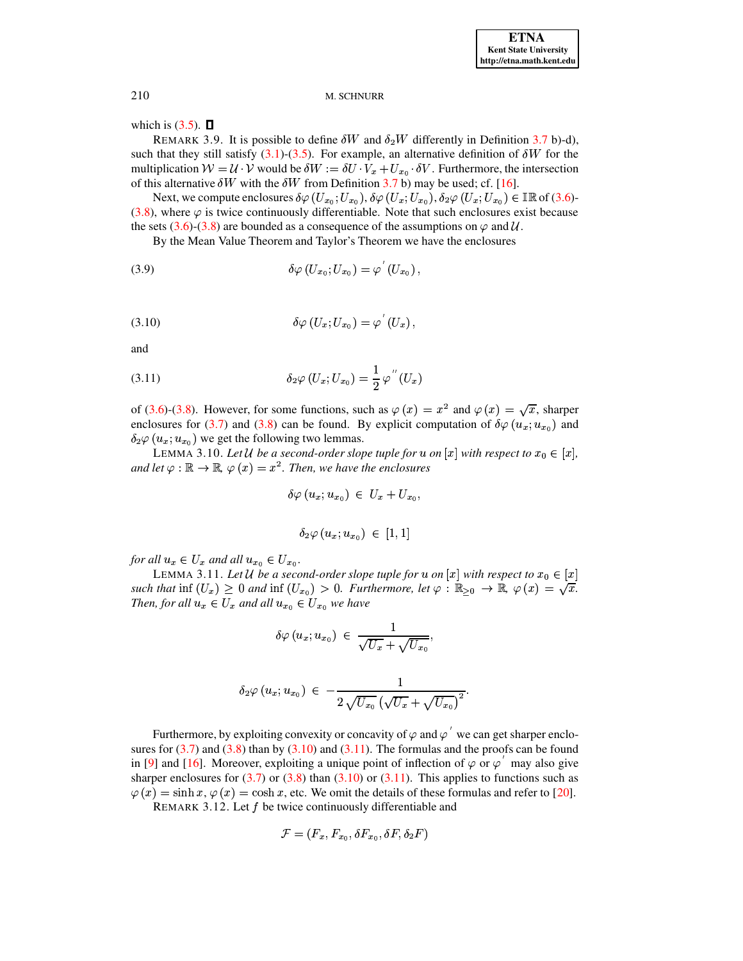which is  $(3.5)$ .  $\Box$ 

REMARK 3.9. It is possible to define  $\delta W$  and  $\delta_2 W$  differently in Definition 3.7 b)-d), such that they still satisfy (3.1)-(3.5). For example, an alternative definition of  $\delta W$  for the multiplication  $W = U \cdot V$  would be  $\delta W := \delta U \cdot V_x + U_{x_0} \cdot \delta V$ . Furthermore, the intersection of this alternative  $\delta W$  with the  $\delta W$  from Definition 3.7 b) may be used; cf. [16].

Next, we compute enclosures  $\delta\varphi$   $(U_{x_0}; U_{x_0})$ ,  $\delta\varphi$   $(U_x; U_{x_0})$ ,  $\delta_2\varphi$   $(U_x; U_{x_0}) \in \mathbb{IR}$  of (3.6)- $(3.8)$ , where  $\varphi$  is twice continuously differentiable. Note that such enclosures exist because the sets (3.6)-(3.8) are bounded as a consequence of the assumptions on  $\varphi$  and U.

By the Mean Value Theorem and Taylor's Theorem we have the enclosures

<span id="page-7-1"></span>
$$
\delta\varphi\left(U_{x_0};U_{x_0}\right)=\varphi'\left(U_{x_0}\right),\,
$$

$$
\delta\varphi\left(U_x; U_{x_0}\right) = \varphi\left(U_x\right),\,
$$

<span id="page-7-2"></span>and

(3.11) 
$$
\delta_2 \varphi (U_x; U_{x_0}) = \frac{1}{2} \varphi''(U_x)
$$

of (3.6)-(3.8). However, for some functions, such as  $\varphi(x) = x^2$  and  $\varphi(x) = \sqrt{x}$ , sharper enclosures for (3.7) and (3.8) can be found. By explicit computation of  $\delta\varphi(u_x; u_{x_0})$  and  $\delta_2\varphi(u_x; u_{x_0})$  we get the following two lemmas.

LEMMA 3.10. Let U be a second-order slope tuple for u on  $[x]$  with respect to  $x_0 \in [x]$ , and let  $\varphi : \mathbb{R} \to \mathbb{R}$ ,  $\varphi(x) = x^2$ . Then, we have the enclosures

$$
\delta\varphi\left(u_x;u_{x_0}\right) \ \in \ U_x + U_{x_0}
$$

$$
\delta_2\varphi\left(u_x;u_{x_0}\right)\,\in\,\left[1,1\right]
$$

for all  $u_x \in U_x$  and all  $u_{x_0} \in U_{x_0}$ .

LEMMA 3.11. Let U be a second-order slope tuple for u on  $[x]$  with respect to  $x_0 \in [x]$ such that inf  $(U_x) \geq 0$  and inf  $(U_{x_0}) > 0$ . Furthermore, let  $\varphi : \mathbb{R}_{\geq 0} \to \mathbb{R}, \varphi(x) = \sqrt{x}$ . Then, for all  $u_x \in U_x$  and all  $u_{x_0} \in U_{x_0}$  we have

$$
\delta\varphi\left(u_x;u_{x_0}\right)\,\in\,\frac{1}{\sqrt{U_x}+\sqrt{U_{x_0}}}
$$

$$
\delta_2 \varphi(u_x; u_{x_0}) \ \in \ -\frac{1}{2\,\sqrt{U_{x_0}}\,\left(\sqrt{U_x} + \sqrt{U_{x_0}}\right)^2}.
$$

<span id="page-7-0"></span>Furthermore, by exploiting convexity or concavity of  $\varphi$  and  $\varphi'$  we can get sharper enclosures for  $(3.7)$  and  $(3.8)$  than by  $(3.10)$  and  $(3.11)$ . The formulas and the proofs can be found in [9] and [16]. Moreover, exploiting a unique point of inflection of  $\varphi$  or  $\varphi'$  may also give sharper enclosures for  $(3.7)$  or  $(3.8)$  than  $(3.10)$  or  $(3.11)$ . This applies to functions such as  $\varphi(x) = \sinh x$ ,  $\varphi(x) = \cosh x$ , etc. We omit the details of these formulas and refer to [20].

REMARK 3.12. Let  $f$  be twice continuously differentiable and

$$
\mathcal{F} = (F_x, F_{x_0}, \delta F_{x_0}, \delta F, \delta_2 F)
$$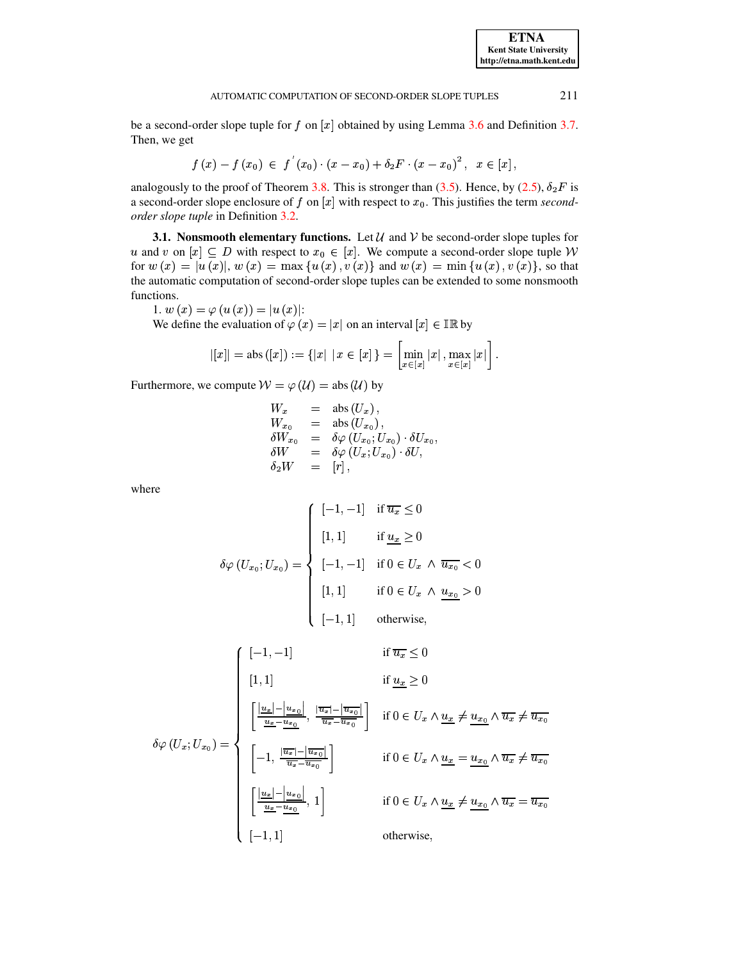be a second-order slope tuple for  $f$  on  $[x]$  obtained by using Lemma 3.6 and Definition 3.7. Then, we get

$$
f(x) - f(x_0) \in f'(x_0) \cdot (x - x_0) + \delta_2 F \cdot (x - x_0)^2, \ \ x \in [x],
$$

analogously to the proof of Theorem 3.8. This is stronger than (3.5). Hence, by (2.5),  $\delta_2 F$  is a second-order slope enclosure of f on [x] with respect to  $x_0$ . This justifies the term secondorder slope tuple in Definition 3.2.

**3.1.** Nonsmooth elementary functions. Let  $\mathcal{U}$  and  $\mathcal{V}$  be second-order slope tuples for u and v on  $[x] \subseteq D$  with respect to  $x_0 \in [x]$ . We compute a second-order slope tuple W for  $w(x) = |u(x)|$ ,  $w(x) = \max\{u(x), v(x)\}\$ and  $w(x) = \min\{u(x), v(x)\}\$ , so that the automatic computation of second-order slope tuples can be extended to some nonsmooth functions.

1. 
$$
w(x) = \varphi(u(x)) = |u(x)|
$$
:

We define the evaluation of  $\varphi(x) = |x|$  on an interval  $[x] \in \mathbb{IR}$  by

$$
|[x]| = \text{abs } ([x]) := \{|x| \mid x \in [x]\} = \left[\min_{x \in [x]} |x|, \max_{x \in [x]} |x|\right]
$$

Furthermore, we compute  $W = \varphi(\mathcal{U}) = \text{abs}(\mathcal{U})$  by

$$
\begin{array}{rcl} W_x&=&\mathrm{abs}\left(U_x\right),\\ W_{x_0}&=&\mathrm{abs}\left(U_{x_0}\right),\\ \delta W_{x_0}&=&\delta\varphi\left(U_{x_0};U_{x_0}\right)\cdot\delta U_{x_0},\\ \delta W&=&\delta\varphi\left(U_x;U_{x_0}\right)\cdot\delta U,\\ \delta_2 W&=&\left[r\right], \end{array}
$$

where

$$
\delta\varphi\left(U_{x_0}; U_{x_0}\right) = \begin{cases}\n[-1, -1] & \text{if } \overline{u_x} \leq 0 \\
[1, 1] & \text{if } \underline{u_x} \geq 0 \\
[-1, -1] & \text{if } 0 \in U_x \land \overline{u_{x_0}} < 0 \\
[1, 1] & \text{if } 0 \in U_x \land \underline{u_{x_0}} > 0 \\
[-1, 1] & \text{otherwise,} \n\end{cases}
$$

$$
\delta \varphi (U_x; U_{x_0}) = \begin{cases}\n[-1, -1] & \text{if } \overline{u_x} \leq 0 \\
[1, 1] & \text{if } \underline{u_x} \geq 0 \\
\frac{\left|\frac{u_x}{u_x} - u_{x_0}\right|}{\frac{u_x}{u_x} - u_{x_0}}, \frac{\left|\overline{u_x}\right| - \left|\overline{u_{x_0}}\right|}{\overline{u_x} - u_{x_0}}\right] & \text{if } 0 \in U_x \wedge \underline{u_x} \neq \underline{u_{x_0}} \wedge \overline{u_x} \neq \overline{u_{x_0}} \\
[-1, \frac{\left|\overline{u_x}\right| - \left|\overline{u_{x_0}}\right|}{\overline{u_x} - u_{x_0}}\right] & \text{if } 0 \in U_x \wedge \underline{u_x} = \underline{u_{x_0}} \wedge \overline{u_x} \neq \overline{u_{x_0}} \\
\left[\frac{\left|u_x\right| - \left|u_{x_0}\right|}{\overline{u_x} - u_{x_0}}, 1\right] & \text{if } 0 \in U_x \wedge \underline{u_x} \neq \underline{u_{x_0}} \wedge \overline{u_x} = \overline{u_{x_0}} \\
[-1, 1] & \text{otherwise,}\n\end{cases}
$$

**ETNA Kent State University** http://etna.math.kent.edu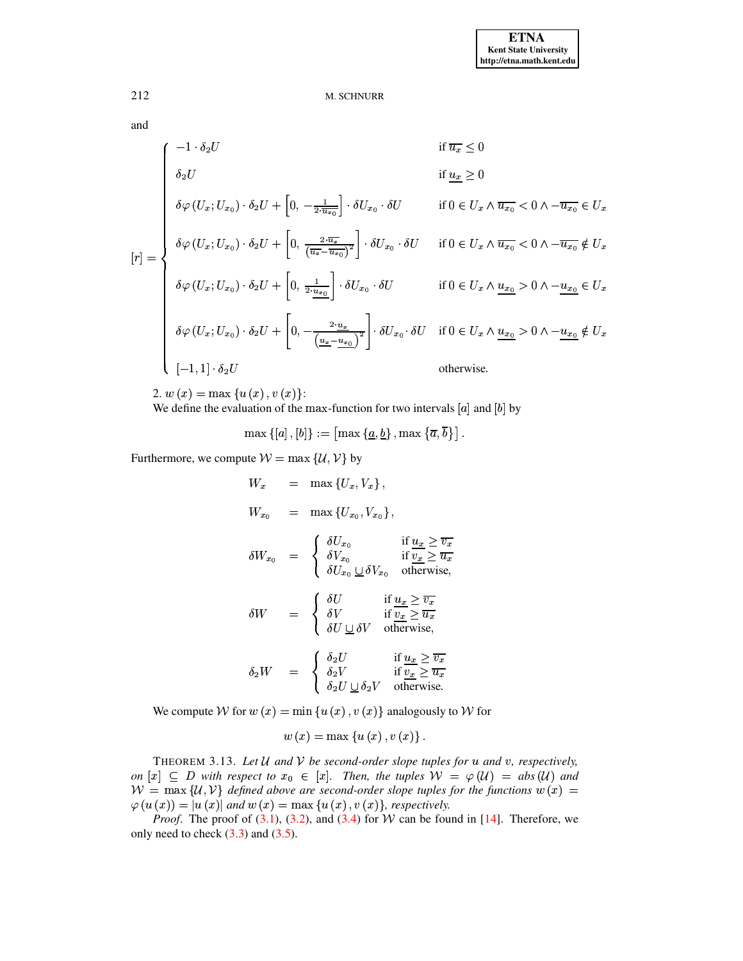and

$$
[r] = \begin{cases}\n-1 \cdot \delta_2 U & \text{if } \overline{u_x} \le 0 \\
\delta_2 U & \text{if } \underline{u_x} \ge 0 \\
\delta \varphi (U_x; U_{x_0}) \cdot \delta_2 U + \left[0, -\frac{1}{2 \cdot \overline{u_{x_0}}}\right] \cdot \delta U_{x_0} \cdot \delta U & \text{if } 0 \in U_x \wedge \overline{u_{x_0}} < 0 \wedge -\overline{u_{x_0}} \in U_x \\
\delta \varphi (U_x; U_{x_0}) \cdot \delta_2 U + \left[0, \frac{2 \cdot \overline{u_x}}{(\overline{u_x} - \overline{u_{x_0}})^2}\right] \cdot \delta U_{x_0} \cdot \delta U & \text{if } 0 \in U_x \wedge \overline{u_{x_0}} < 0 \wedge -\overline{u_{x_0}} \notin U_x \\
\delta \varphi (U_x; U_{x_0}) \cdot \delta_2 U + \left[0, \frac{1}{2 \cdot \overline{u_{x_0}}} \right] \cdot \delta U_{x_0} \cdot \delta U & \text{if } 0 \in U_x \wedge \underline{u_{x_0}} > 0 \wedge -\underline{u_{x_0}} \in U_x \\
\delta \varphi (U_x; U_{x_0}) \cdot \delta_2 U + \left[0, -\frac{2 \cdot \underline{u_x}}{(\underline{u_x} - \underline{u_{x_0}})^2}\right] \cdot \delta U_{x_0} \cdot \delta U & \text{if } 0 \in U_x \wedge \underline{u_{x_0}} > 0 \wedge -\underline{u_{x_0}} \notin U_x \\
[-1, 1] \cdot \delta_2 U & \text{otherwise.}\n\end{cases}
$$

2. 
$$
w(x) = \max\{u(x), v(x)\}\
$$

We define the evaluation of the max-function for two intervals  $[a]$  and  $[b]$  by

$$
\max\left\{ \left[a\right],\left[b\right]\right\} := \left[\max\left\{\underline{a},\underline{b}\right\},\max\left\{\overline{a},\overline{b}\right\} \right].
$$

Furthermore, we compute  $W = \max \{U, V\}$  by

$$
W_x = \max \{U_x, V_x\},
$$
  
\n
$$
W_{x_0} = \max \{U_{x_0}, V_{x_0}\},
$$
  
\n
$$
\delta W_{x_0} = \begin{cases} \delta U_{x_0} & \text{if } \underline{u_x} \ge \overline{v_x} \\ \delta V_{x_0} & \text{if } \underline{v_x} \ge \overline{u_x} \\ \delta U_{x_0} \sqcup \delta V_{x_0} & \text{otherwise,} \end{cases}
$$
  
\n
$$
\delta W = \begin{cases} \delta U & \text{if } \underline{u_x} \ge \overline{v_x} \\ \delta V & \text{if } \underline{v_x} \ge \overline{u_x} \\ \delta U \sqcup \delta V & \text{otherwise,} \end{cases}
$$
  
\n
$$
\delta_2 W = \begin{cases} \delta_2 U & \text{if } \underline{u_x} \ge \overline{v_x} \\ \delta_2 U \sqcup \delta_2 V & \text{if } \underline{v_x} \ge \overline{u_x} \\ \delta_2 U \sqcup \delta_2 V & \text{otherwise.} \end{cases}
$$

We compute W for  $w(x) = \min \{u(x), v(x)\}\$ analogously to W for

$$
w(x) = \max\left\{u(x), v(x)\right\}
$$

THEOREM 3.13. Let  $U$  and  $V$  be second-order slope tuples for  $u$  and  $v$ , respectively, on  $[x] \subseteq D$  with respect to  $x_0 \in [x]$ . Then, the tuples  $W = \varphi(\mathcal{U}) = abs(\mathcal{U})$  and  $W = \max \{U, V\}$  defined above are second-order slope tuples for the functions  $w(x) =$  $\varphi(u(x)) = |u(x)|$  and  $w(x) = \max\{u(x), v(x)\}\$ , respectively.

*Proof.* The proof of  $(3.1)$ ,  $(3.2)$ , and  $(3.4)$  for W can be found in [14]. Therefore, we only need to check  $(3.3)$  and  $(3.5)$ .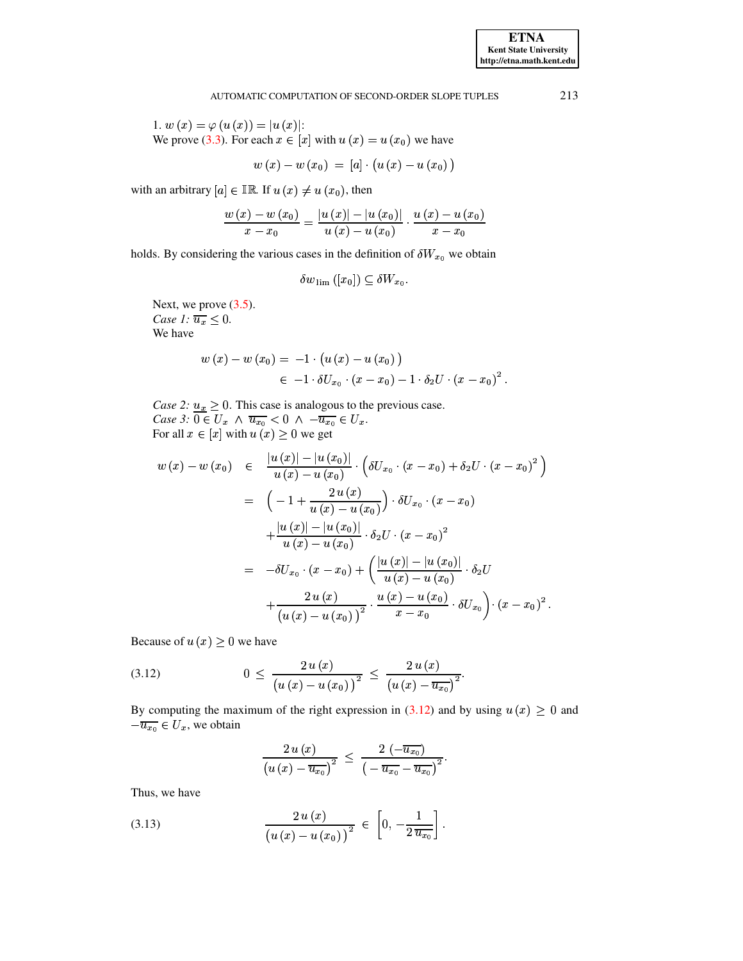1.  $w(x) = \varphi(u(x)) = |u(x)|$ : We prove (3.3). For each  $x \in [x]$  with  $u(x) = u(x_0)$  we have

$$
w(x)-w(x_0) = [a] \cdot \big(u(x)-u(x_0)\big)
$$

with an arbitrary  $[a] \in \mathbb{IR}$ . If  $u(x) \neq u(x_0)$ , then

$$
\frac{w(x)-w(x_0)}{x-x_0}=\frac{|u(x)|-|u(x_0)|}{u(x)-u(x_0)}\cdot\frac{u(x)-u(x_0)}{x-x_0}
$$

holds. By considering the various cases in the definition of  $\delta W_{x_0}$  we obtain

$$
\delta w_{\text{lim}}([x_0]) \subseteq \delta W_{x_0}.
$$

Next, we prove  $(3.5)$ . Case 1:  $\overline{u_x} \leq 0$ . We have

$$
w(x) - w(x_0) = -1 \cdot (u(x) - u(x_0))
$$
  

$$
\in -1 \cdot \delta U_{x_0} \cdot (x - x_0) - 1 \cdot \delta_2 U \cdot (x - x_0)^2.
$$

Case 2:  $\underline{u_x} \ge 0$ . This case is analogous to the previous case.<br>Case 3:  $\overline{0 \in U_x} \wedge \overline{u_{x_0}} < 0 \wedge -\overline{u_{x_0}} \in U_x$ .<br>For all  $x \in [x]$  with  $u(x) \ge 0$  we get

$$
w(x) - w(x_0) \in \frac{|u(x)| - |u(x_0)|}{u(x) - u(x_0)} \cdot \left(\delta U_{x_0} \cdot (x - x_0) + \delta_2 U \cdot (x - x_0)^2\right)
$$
  

$$
= \left(-1 + \frac{2 u(x)}{u(x) - u(x_0)}\right) \cdot \delta U_{x_0} \cdot (x - x_0)
$$
  

$$
+ \frac{|u(x)| - |u(x_0)|}{u(x) - u(x_0)} \cdot \delta_2 U \cdot (x - x_0)^2
$$
  

$$
= -\delta U_{x_0} \cdot (x - x_0) + \left(\frac{|u(x)| - |u(x_0)|}{u(x) - u(x_0)} \cdot \delta_2 U
$$
  

$$
+ \frac{2 u(x)}{(u(x) - u(x_0))^2} \cdot \frac{u(x) - u(x_0)}{x - x_0} \cdot \delta U_{x_0}\right) \cdot (x - x_0)^2.
$$

<span id="page-10-0"></span>Because of  $u(x) \geq 0$  we have

(3.12) 
$$
0 \leq \frac{2 u(x)}{(u(x) - u(x_0))^{2}} \leq \frac{2 u(x)}{(u(x) - u_{x_0})^{2}}.
$$

By computing the maximum of the right expression in (3.12) and by using  $u(x) \ge 0$  and  $-\overline{u_{x_0}} \in U_x$ , we obtain

$$
\frac{2\,u\left(x\right)}{\left(u\left(x\right)-\overline{u_{x_{0}}}\right)^{2}}\,\leq\,\frac{2\,\left(-\overline{u_{x_{0}}}\right)}{\left(-\,\overline{u_{x_{0}}}-\overline{u_{x_{0}}}\right)^{2}}.
$$

<span id="page-10-1"></span>Thus, we have

(3.13) 
$$
\frac{2\,u(x)}{(u(x)-u(x_0))^{2}} \in \left[0, -\frac{1}{2\,\overline{u_{x_0}}}\right].
$$

213

**ETNA Kent State University** http://etna.math.kent.edu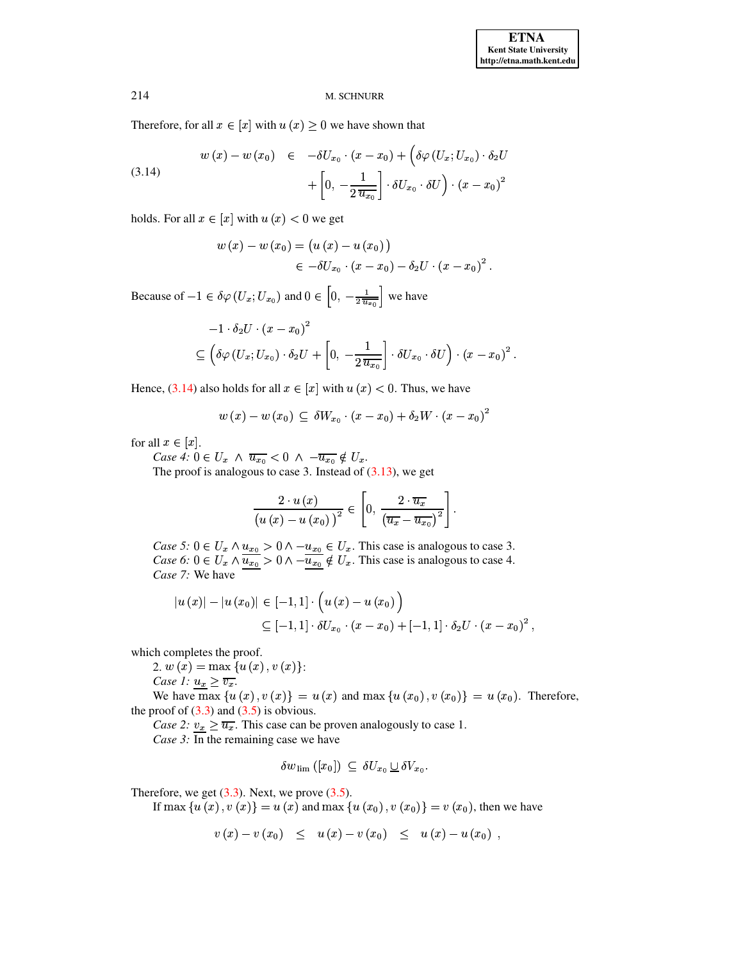Therefore, for all  $x \in [x]$  with  $u(x) \ge 0$  we have shown that

(3.14) 
$$
w(x) - w(x_0) \in -\delta U_{x_0} \cdot (x - x_0) + \left(\delta \varphi \left(U_x; U_{x_0}\right) \cdot \delta_2 U + \left[0, -\frac{1}{2 \overline{u_{x_0}}}\right] \cdot \delta U_{x_0} \cdot \delta U\right) \cdot (x - x_0)^2
$$

holds. For all  $x \in [x]$  with  $u(x) < 0$  we get

<span id="page-11-0"></span>
$$
w(x) - w(x_0) = (u(x) - u(x_0))
$$
  

$$
\in -\delta U_{x_0} \cdot (x - x_0) - \delta_2 U \cdot (x - x_0)^2.
$$

Because of  $-1 \in \delta\varphi(U_x; U_{x_0})$  and  $0 \in \left[0, -\frac{1}{2 \overline{u_{x_0}}}\right]$  we have

$$
-1 \cdot \delta_2 U \cdot (x - x_0)^2
$$
  
\n
$$
\subseteq \left( \delta \varphi \left( U_x; U_{x_0} \right) \cdot \delta_2 U + \left[ 0, -\frac{1}{2 \overline{u_{x_0}}} \right] \cdot \delta U_{x_0} \cdot \delta U \right) \cdot (x - x_0)^2.
$$

Hence, (3.14) also holds for all  $x \in [x]$  with  $u(x) < 0$ . Thus, we have

$$
w(x)-w(x_0) \subseteq \delta W_{x_0} \cdot (x-x_0)+\delta_2 W \cdot (x-x_0)^2
$$

for all  $x \in [x]$ .

Case 4:  $0 \in U_x \land \overline{u_{x_0}} < 0 \land -\overline{u_{x_0}} \notin U_x$ .

The proof is analogous to case 3. Instead of  $(3.13)$ , we get

$$
\frac{2 \cdot u(x)}{\left(u\left(x\right) - u\left(x_0\right)\right)^2} \in \left[0, \frac{2 \cdot \overline{u_x}}{\left(\overline{u_x} - \overline{u_{x_0}}\right)^2}\right].
$$

Case 5:  $0 \in U_x \wedge \underline{u_{x_0}} > 0 \wedge \underline{-u_{x_0}} \in U_x$ . This case is analogous to case 3.<br>Case 6:  $0 \in U_x \wedge \overline{\underline{u_{x_0}}} > 0 \wedge \underline{-\overline{u_{x_0}}} \notin U_x$ . This case is analogous to case 4. Case 7: We have

$$
|u(x)| - |u(x_0)| \in [-1,1] \cdot (u(x) - u(x_0))
$$
  
\n
$$
\subseteq [-1,1] \cdot \delta U_{x_0} \cdot (x - x_0) + [-1,1] \cdot \delta_2 U \cdot (x - x_0)^2,
$$

which completes the proof.

2.  $w(x) = \max\{u(x), v(x)\}\.$ 

Case 1:  $u_x \geq \overline{v_x}$ .

We have  $\max \{u(x), v(x)\} = u(x)$  and  $\max \{u(x_0), v(x_0)\} = u(x_0)$ . Therefore, the proof of  $(3.3)$  and  $(3.5)$  is obvious.

Case 2:  $v_x \ge \overline{u_x}$ . This case can be proven analogously to case 1. Case 3: In the remaining case we have

$$
\delta w_{\rm lim} ([x_0]) \subseteq \delta U_{x_0} \sqcup \delta V_{x_0}.
$$

Therefore, we get  $(3.3)$ . Next, we prove  $(3.5)$ .

If max { $u(x)$ ,  $v(x)$ } =  $u(x)$  and max { $u(x_0)$ ,  $v(x_0)$ } =  $v(x_0)$ , then we have

$$
v(x) - v(x_0) \leq u(x) - v(x_0) \leq u(x) - u(x_0) ,
$$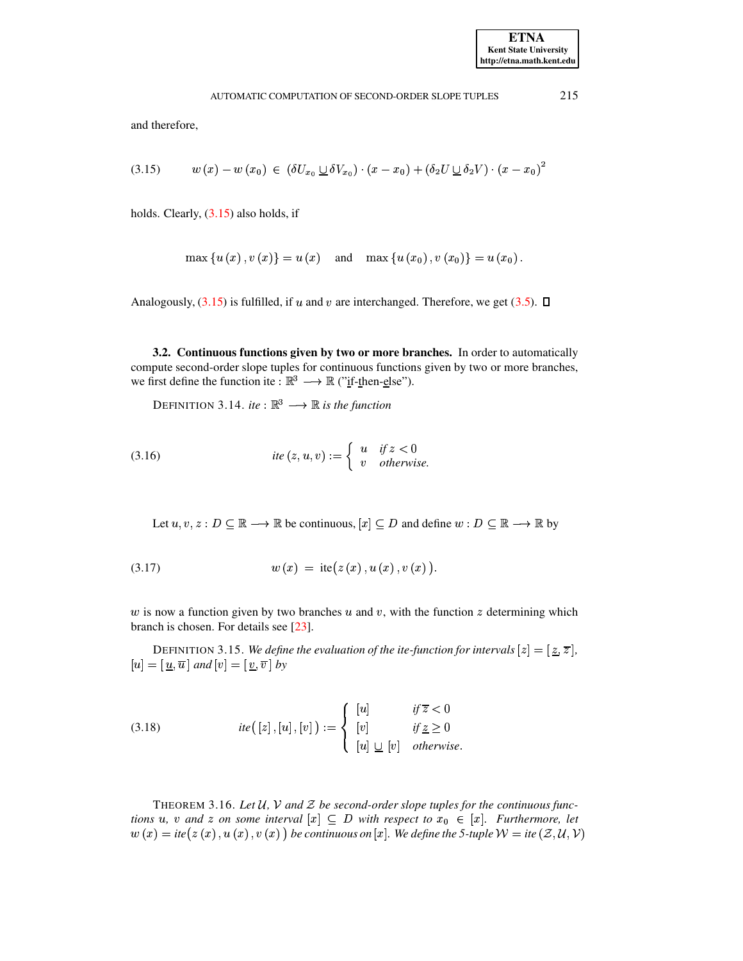<span id="page-12-0"></span>and therefore,

$$
(3.15) \qquad w(x) - w(x_0) \in (\delta U_{x_0} \sqcup \delta V_{x_0}) \cdot (x - x_0) + (\delta_2 U \sqcup \delta_2 V) \cdot (x - x_0)^2
$$

holds. Clearly,  $(3.15)$  also holds, if

$$
\max \{u(x), v(x)\} = u(x)
$$
 and  $\max \{u(x_0), v(x_0)\} = u(x_0)$ .

Analogously,  $(3.15)$  is fulfilled, if u and v are interchanged. Therefore, we get  $(3.5)$ .  $\Box$ 

3.2. Continuous functions given by two or more branches. In order to automatically compute second-order slope tuples for continuous functions given by two or more branches, we first define the function ite :  $\mathbb{R}^3 \longrightarrow \mathbb{R}$  ("if-then-else").

DEFINITION 3.14. ite :  $\mathbb{R}^3 \longrightarrow \mathbb{R}$  is the function

(3.16) 
$$
ite(z, u, v) := \begin{cases} u & \text{if } z < 0 \\ v & \text{otherwise.} \end{cases}
$$

Let  $u, v, z: D \subseteq \mathbb{R} \longrightarrow \mathbb{R}$  be continuous,  $[x] \subseteq D$  and define  $w: D \subseteq \mathbb{R} \longrightarrow \mathbb{R}$  by

(3.17) 
$$
w(x) = \text{ite}(z(x), u(x), v(x)).
$$

 $w$  is now a function given by two branches  $u$  and  $v$ , with the function  $z$  determining which branch is chosen. For details see [23].

DEFINITION 3.15. We define the evaluation of the ite-function for intervals  $[z] = [\underline{z}, \overline{z}]$ ,  $[u] = [\underline{u}, \overline{u}]$  and  $[v] = [\underline{v}, \overline{v}]$  by

(3.18) 
$$
ite([z], [u], [v]) := \begin{cases} [u] & \text{if } \overline{z} < 0 \\ [v] & \text{if } \underline{z} \ge 0 \\ [u] \underline{\cup} [v] & \text{otherwise} \end{cases}
$$

THEOREM 3.16. Let  $U$ ,  $V$  and  $Z$  be second-order slope tuples for the continuous functions u, v and z on some interval  $[x] \subseteq D$  with respect to  $x_0 \in [x]$ . Furthermore, let  $w(x) = ite(z(x), u(x), v(x))$  be continuous on [x]. We define the 5-tuple  $W = ite(Z, U, V)$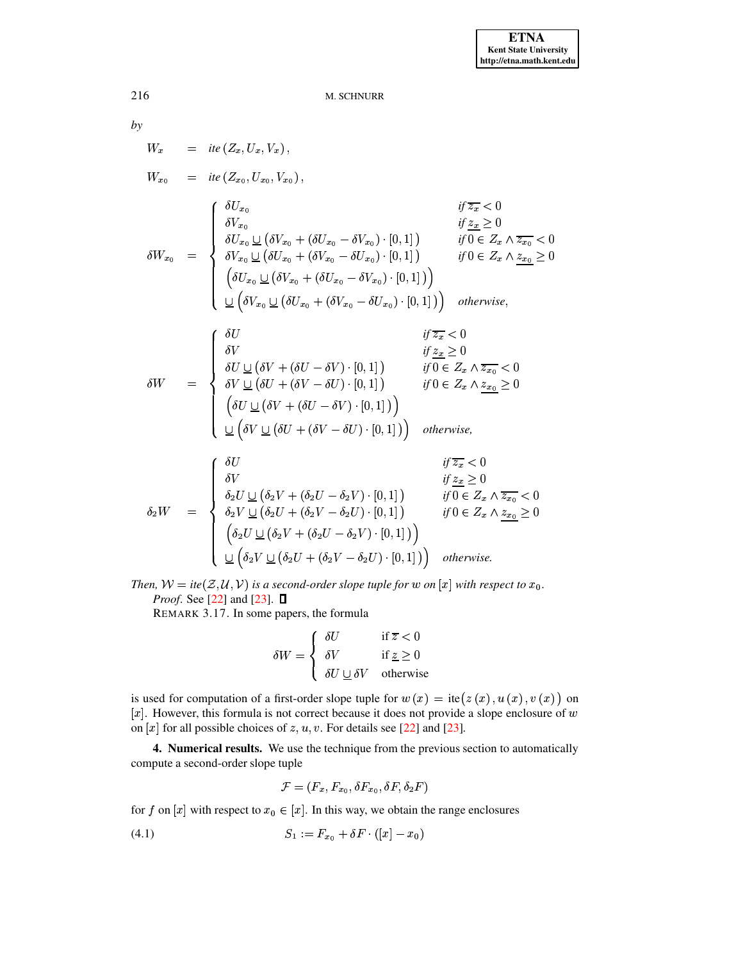$$
\overline{by}
$$

$$
W_x = ite(Z_x, U_x, V_x),
$$
  
\n
$$
W_{x_0} = ie(Z_{x_0}, U_{x_0}, V_{x_0}),
$$
  
\n
$$
\delta W_{x_0} = \begin{cases}\n\delta U_{x_0} & \text{if } \overline{z_x} < 0 \\
\delta V_{x_0} & \text{if } \overline{z_x} \ge 0 \\
\delta U_{x_0} \underline{\cup} (\delta V_{x_0} + (\delta U_{x_0} - \delta V_{x_0}) \cdot [0, 1]) & \text{if } 0 \in Z_x \wedge \overline{z_{x_0}} < 0 \\
\delta V_{x_0} \underline{\cup} (\delta U_{x_0} + (\delta V_{x_0} - \delta U_{x_0}) \cdot [0, 1]) & \text{if } 0 \in Z_x \wedge \overline{z_{x_0}} \ge 0 \\
(\delta U_{x_0} \underline{\cup} (\delta V_{x_0} + (\delta U_{x_0} - \delta V_{x_0}) \cdot [0, 1])) & \text{otherwise,} \\
\frac{\partial U}{\partial V_{x_0} \underline{\cup}} (\delta V_{x_0} + (\delta V_{x_0} - \delta U_{x_0}) \cdot [0, 1]) & \text{otherwise,} \\
\frac{\partial U}{\partial V \underline{\cup}} (\delta V + (\delta U - \delta V) \cdot [0, 1]) & \text{if } 0 \in Z_x \wedge \overline{z_{x_0}} < 0 \\
\delta W = \begin{cases}\n\delta U & \text{if } \overline{z_x} < 0 \\
\delta V \underline{\cup} (\delta V + (\delta V - \delta V) \cdot [0, 1]) & \text{if } 0 \in Z_x \wedge \overline{z_{x_0}} < 0 \\
(\delta U \underline{\cup} (\delta V + (\delta U - \delta V) \cdot [0, 1])) & \text{otherwise,} \\
\delta U \underline{\cup} (\delta V \underline{\cup} (\delta U + (\delta V - \delta U) \cdot [0, 1])) & \text{otherwise,} \\
\frac{\partial U}{\partial V \underline{\cup}} (\delta V + (\delta V - \delta V) \cdot [0, 1]) & \text{if } 0 \in Z_x \wedge \overline{z_{x_0}} \ge 0 \\
\delta V & \text{if } \overline{z_x} < 0 \\
\delta V & \text{if } \overline{z_x} < 0 \\
\delta V & \text{if } \overline{z_x} < 0 \\
\delta V & \text{
$$

Then,  $W = \text{ite}(\mathcal{Z}, \mathcal{U}, \mathcal{V})$  is a second-order slope tuple for w on  $[x]$  with respect to  $x_0$ . *Proof.* See [22] and [23].  $\Box$ 

REMARK 3.17. In some papers, the formula

$$
\delta W = \begin{cases} \delta U & \text{if } \overline{z} < 0 \\ \delta V & \text{if } \underline{z} \ge 0 \\ \delta U \underline{\cup} \delta V & \text{otherwise} \end{cases}
$$

is used for computation of a first-order slope tuple for  $w(x) = \text{ite}(z(x), u(x), v(x))$  on  $[x]$ . However, this formula is not correct because it does not provide a slope enclosure of  $w$ on [x] for all possible choices of  $z, u, v$ . For details see [22] and [23].

<span id="page-13-0"></span>4. Numerical results. We use the technique from the previous section to automatically compute a second-order slope tuple

$$
\mathcal{F} = (F_x, F_{x_0}, \delta F_{x_0}, \delta F, \delta_2 F)
$$

for f on [x] with respect to  $x_0 \in [x]$ . In this way, we obtain the range enclosures

$$
(4.1) \tS_1 := F_{x_0} + \delta F \cdot (|x| - x_0)
$$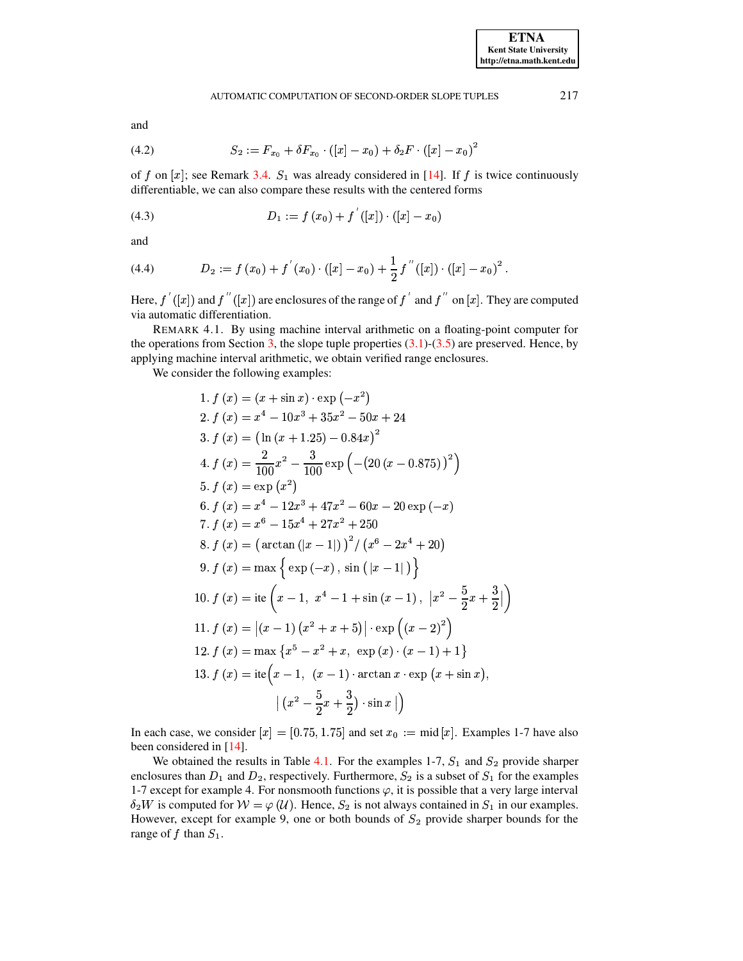and

(4.2) 
$$
S_2 := F_{x_0} + \delta F_{x_0} \cdot ([x] - x_0) + \delta_2 F \cdot ([x] - x_0)^2
$$

of f on [x]; see Remark 3.4.  $S_1$  was already considered in [14]. If f is twice continuously differentiable, we can also compare these results with the centered forms

(4.3) 
$$
D_1 := f(x_0) + f'([x]) \cdot ([x] - x_0)
$$

and

(4.4) 
$$
D_2 := f(x_0) + f'(x_0) \cdot ([x] - x_0) + \frac{1}{2} f''([x]) \cdot ([x] - x_0)^2.
$$

Here,  $f'(x)$  and  $f''(x)$  are enclosures of the range of  $f'$  and  $f''$  on  $[x]$ . They are computed via automatic differentiation.

REMARK 4.1. By using machine interval arithmetic on a floating-point computer for the operations from Section 3, the slope tuple properties  $(3.1)$ - $(3.5)$  are preserved. Hence, by applying machine interval arithmetic, we obtain verified range enclosures.

We consider the following examples:

1. 
$$
f(x) = (x + \sin x) \cdot \exp(-x^2)
$$
  
\n2.  $f(x) = x^4 - 10x^3 + 35x^2 - 50x + 24$   
\n3.  $f(x) = (\ln(x + 1.25) - 0.84x)^2$   
\n4.  $f(x) = \frac{2}{100}x^2 - \frac{3}{100} \exp(-(20(x - 0.875))^2)$   
\n5.  $f(x) = \exp(x^2)$   
\n6.  $f(x) = x^4 - 12x^3 + 47x^2 - 60x - 20 \exp(-x)$   
\n7.  $f(x) = x^6 - 15x^4 + 27x^2 + 250$   
\n8.  $f(x) = (\arctan(|x - 1|))^2 / (x^6 - 2x^4 + 20)$   
\n9.  $f(x) = \max \{ \exp(-x), \sin(|x - 1|) \}$   
\n10.  $f(x) = \text{ite } (x - 1, x^4 - 1 + \sin(x - 1), |x^2 - \frac{5}{2}x + \frac{3}{2}|)$   
\n11.  $f(x) = |(x - 1)(x^2 + x + 5)| \cdot \exp((x - 2)^2)$   
\n12.  $f(x) = \max \{x^5 - x^2 + x, \exp(x) \cdot (x - 1) + 1\}$   
\n13.  $f(x) = \text{ite } (x - 1, (x - 1) \cdot \arctan x \cdot \exp(x + \sin x), |(x^2 - \frac{5}{2}x + \frac{3}{2}) \cdot \sin x |$ 

In each case, we consider  $[x] = [0.75, 1.75]$  and set  $x_0 := \text{mid } [x]$ . Examples 1-7 have also been considered in [14].

We obtained the results in Table 4.1. For the examples 1-7,  $S_1$  and  $S_2$  provide sharper enclosures than  $D_1$  and  $D_2$ , respectively. Furthermore,  $S_2$  is a subset of  $S_1$  for the examples 1-7 except for example 4. For nonsmooth functions  $\varphi$ , it is possible that a very large interval  $\delta_2 W$  is computed for  $W = \varphi(U)$ . Hence,  $S_2$  is not always contained in  $S_1$  in our examples. However, except for example 9, one or both bounds of  $S_2$  provide sharper bounds for the range of  $f$  than  $S_1$ .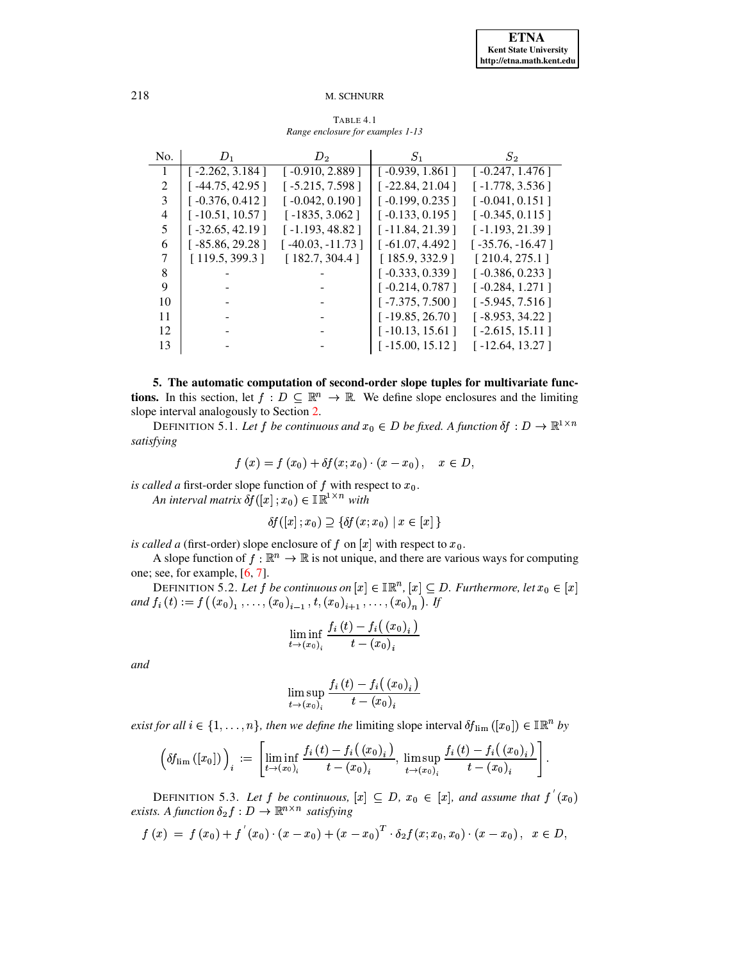$\ddot{\phantom{1}}$ 

## 218 M. SCHNURR

<span id="page-15-1"></span>

| No. | $D_1$             | $D_2$              | $S_1$             | $S_2$              |
|-----|-------------------|--------------------|-------------------|--------------------|
|     | $[-2.262, 3.184]$ | $[-0.910, 2.889]$  | [ -0.939, 1.861 ] | $[-0.247, 1.476]$  |
| 2   | $[-44.75, 42.95]$ | $[-5.215, 7.598]$  | [ -22.84, 21.04 ] | $[-1.778, 3.536]$  |
| 3   | $[-0.376, 0.412]$ | $[-0.042, 0.190]$  | $[-0.199, 0.235]$ | $[-0.041, 0.151]$  |
| 4   | $[-10.51, 10.57]$ | $[-1835, 3.062]$   | $[-0.133, 0.195]$ | $[-0.345, 0.115]$  |
| 5   | $[-32.65, 42.19]$ | $[-1.193, 48.82]$  | $[-11.84, 21.39]$ | $[-1.193, 21.39]$  |
| 6   | $[-85.86, 29.28]$ | $[-40.03, -11.73]$ | $[-61.07, 4.492]$ | $[-35.76, -16.47]$ |
| 7   | [119.5, 399.3]    | [182.7, 304.4]     | [185.9, 332.9]    | [210.4, 275.1]     |
| 8   |                   |                    | $[-0.333, 0.339]$ | $[-0.386, 0.233]$  |
| 9   |                   |                    | $[-0.214, 0.787]$ | $[-0.284, 1.271]$  |
| 10  |                   |                    | $[-7.375, 7.500]$ | $[-5.945, 7.516]$  |
| 11  |                   |                    | $[-19.85, 26.70]$ | $[-8.953, 34.22]$  |
| 12  |                   |                    | $[-10.13, 15.61]$ | $[-2.615, 15.11]$  |
| 13  |                   |                    | $[-15.00, 15.12]$ | $[-12.64, 13.27]$  |

TABLE 4.1 *Range enclosure for examples 1-13* <sup>å</sup>

<span id="page-15-0"></span>**5. The automatic computation of second-order slope tuples for multivariate functions.** In this section, let  $f: D \subseteq \mathbb{R}^n \to \mathbb{R}$ . We define slope enclosures and the limiting slope interval analogously to Section [2.](#page-1-0)

DEFINITION 5.1. Let f be continuous and  $x_0 \in D$  be fixed. A function  $\delta f: D \to \mathbb{R}^{1 \times n}$ *satisfying*

$$
f(x) = f(x_0) + \delta f(x; x_0) \cdot (x - x_0), \quad x \in D,
$$

*is called a* first-order slope function of  $f$  with respect to  $x_0$ . *An* interval matrix  $\delta f([x]; x_0) \in \mathbb{IR}^{1 \times n}$  *with*<br>  $\delta f([x]; x_0) \supset \{ \delta f(x; x_0) \mid x \in [x] \}$ 

$$
\delta f([x]; x_0) \supseteq {\delta f(x; x_0) | x \in [x]}
$$

*is called a* (first-order) slope enclosure of  $f$  on  $[x]$  with respect to  $x_0$ .

A slope function of  $f : \mathbb{R}^n \to \mathbb{R}$  is not unique, and there are various ways for computing one; see, for example, [\[6,](#page-19-13) [7\]](#page-19-7).

DEFINITION 5.2. Let  $f$  be continuous on  $[x] \in \mathbb{IR}^n$ ,  $[x] \subseteq D.$  Furthermore, let  $x_0 \in [x]$ *and*  $f_i(t) := f((x_0)_1, \ldots, (x_0)_{i-1}, t, (x_0)_{i+1}, \ldots, (x_0)_n)$ . If

$$
\liminf_{t\rightarrow(x_{0})_{i}}\frac{f_{i}\left(t\right)-f_{i}\big(\left(x_{0}\right)_{i}\big)}{t-\left(x_{0}\right)_{i}}
$$

*and*

$$
\limsup_{t\to (x_0)_i} \frac{f_i\left(t\right)-f_i\bigl(\left(x_0\right)_i\bigl)}{t-\left(x_0\right)_i}
$$

*exist for all*  $i \in \{1, \ldots, n\}$ , then we define the limiting slope interval  $\delta f_{\text{lim}}([x_0]) \in \mathbb{IR}^n$  by

$$
\left(\delta f_{\text{lim}}\left(\left[x_{0}\right]\right)\right)_{i} := \left[\liminf_{t \to \left(x_{0}\right)_{i}} \frac{f_{i}\left(t\right)-f_{i}\left(\left(x_{0}\right)_{i}\right)}{t-\left(x_{0}\right)_{i}}, \limsup_{t \to \left(x_{0}\right)_{i}} \frac{f_{i}\left(t\right)-f_{i}\left(\left(x_{0}\right)_{i}\right)}{t-\left(x_{0}\right)_{i}}\right].
$$

DEFINITION 5.3. *Let*  $f$  *be continuous*,  $[x] \subseteq D$ ,  $x_0 \in [x]$ , and assume that  $f'(x_0)$  exists. A function  $\delta_2 f : D \to \mathbb{R}^{n \times n}$  *satisfying* exists. A function  $\delta_2 f : D \to \mathbb{R}^{n \times n}$  satisfying

$$
f(x) = f(x_0) + f'(x_0) \cdot (x - x_0) + (x - x_0)^T \cdot \delta_2 f(x; x_0, x_0) \cdot (x - x_0), \ \ x \in D,
$$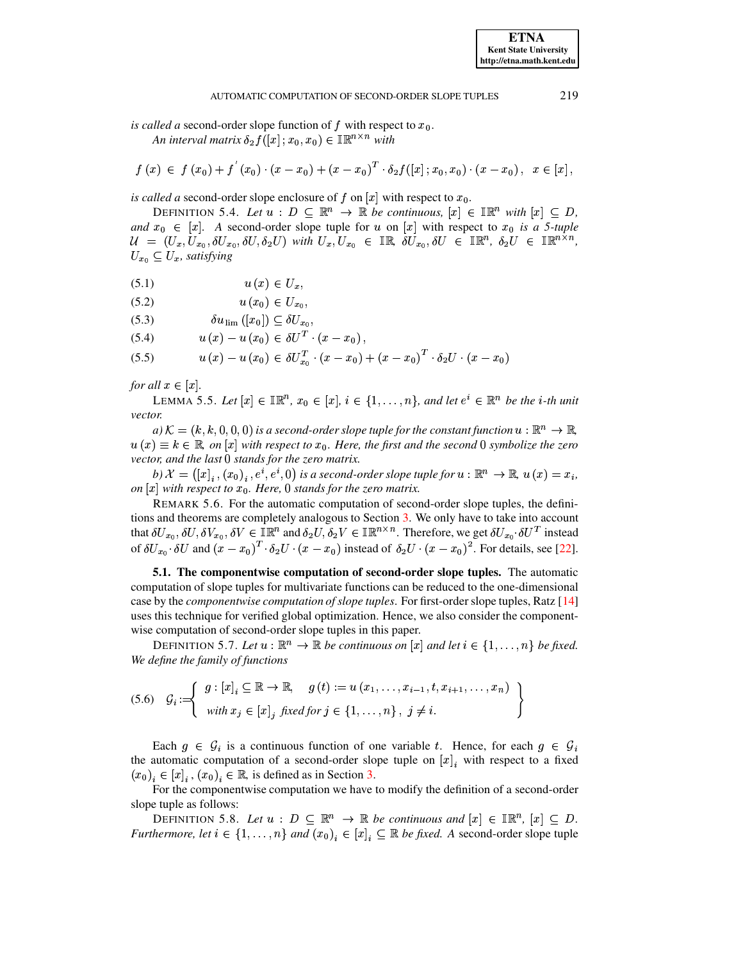**ETNA Kent State University** http://etna.math.kent.edu

is called a second-order slope function of f with respect to  $x_0$ .

An interval matrix  $\delta_2 f([x]; x_0, x_0) \in \mathbb{IR}^{n \times n}$  with

$$
f(x) \in f(x_0) + f'(x_0) \cdot (x - x_0) + (x - x_0)^T \cdot \delta_2 f([x]; x_0, x_0) \cdot (x - x_0), \quad x \in [x],
$$

<span id="page-16-2"></span>is called a second-order slope enclosure of f on  $[x]$  with respect to  $x_0$ .

DEFINITION 5.4. Let  $u : D \subseteq \mathbb{R}^n \to \mathbb{R}$  be continuous,  $[x] \in \mathbb{R}^n$  with  $[x] \subseteq D$ , and  $x_0 \in [x]$ . A second-order slope tuple for u on [x] with respect to  $x_0$  is a 5-tuple  $\mathcal{U} = (U_x, U_{x_0}, \delta U_{x_0}, \delta U, \delta_2 U)$  with  $U_x, U_{x_0} \in \mathbb{IR}$ ,  $\delta U_{x_0}, \delta U \in \mathbb{IR}^n$ ,  $\delta_2 U \in \mathbb{IR}^{n \times n}$ ,  $U_{x_0} \subseteq U_x$ , satisfying

- <span id="page-16-3"></span> $u(x) \in U_x$ ,  $(5.1)$
- $u(x_0) \in U_{x_0},$  $(5.2)$
- $\delta u$ <sub>lim</sub> ([x<sub>0</sub>])  $\subseteq$   $\delta U_{x_0}$ ,  $(5.3)$

 $u(x) - u(x_0) \in \delta U^T \cdot (x - x_0),$  $(5.4)$ 

 $u(x) - u(x_0) \in \delta U_{x_0}^T \cdot (x - x_0) + (x - x_0)^T \cdot \delta_2 U \cdot (x - x_0)$  $(5.5)$ 

for all  $x \in [x]$ .

LEMMA 5.5. Let  $[x] \in \mathbb{R}^n$ ,  $x_0 \in [x]$ ,  $i \in \{1, \ldots, n\}$ , and let  $e^i \in \mathbb{R}^n$  be the *i*-th unit vector.

 $a) K = (k, k, 0, 0, 0)$  is a second-order slope tuple for the constant function  $u : \mathbb{R}^n \to \mathbb{R}$ ,  $u(x) \equiv k \in \mathbb{R}$ , on  $[x]$  with respect to  $x_0$ . Here, the first and the second 0 symbolize the zero vector, and the last 0 stands for the zero matrix.

b)  $\mathcal{X} = ([x]_i, (x_0)_i, e^i, e^i, 0)$  is a second-order slope tuple for  $u : \mathbb{R}^n \to \mathbb{R}$ ,  $u(x) = x_i$ , on  $[x]$  with respect to  $x_0$ . Here, 0 stands for the zero matrix.

<span id="page-16-1"></span>REMARK 5.6. For the automatic computation of second-order slope tuples, the definitions and theorems are completely analogous to Section 3. We only have to take into account that  $\delta U_{x_0}, \delta U, \delta V_{x_0}, \delta V \in \mathbb{IR}^n$  and  $\delta_2 U, \delta_2 V \in \mathbb{IR}^{n \times n}$ . Therefore, we get  $\delta U_{x_0} \cdot \delta U^T$  instead of  $\delta U_{x_0} \cdot \delta U$  and  $(x - x_0)^T \cdot \delta_2 U \cdot (x - x_0)$  instead of  $\delta_2 U \cdot (x - x_0)^2$ . For details, see [22].

5.1. The componentwise computation of second-order slope tuples. The automatic computation of slope tuples for multivariate functions can be reduced to the one-dimensional case by the *componentwise computation of slope tuples*. For first-order slope tuples, Ratz [14] uses this technique for verified global optimization. Hence, we also consider the componentwise computation of second-order slope tuples in this paper.

DEFINITION 5.7. Let  $u : \mathbb{R}^n \to \mathbb{R}$  be continuous on  $[x]$  and let  $i \in \{1, ..., n\}$  be fixed. We define the family of functions

<span id="page-16-0"></span>(5.6) 
$$
\mathcal{G}_i := \left\{ \begin{array}{l} g : [x]_i \subseteq \mathbb{R} \to \mathbb{R}, \quad g(t) := u(x_1, \dots, x_{i-1}, t, x_{i+1}, \dots, x_n) \\ \text{with } x_j \in [x]_j \text{ fixed for } j \in \{1, \dots, n\}, \ j \neq i. \end{array} \right\}
$$

Each  $g \in \mathcal{G}_i$  is a continuous function of one variable t. Hence, for each  $g \in \mathcal{G}_i$ the automatic computation of a second-order slope tuple on  $[x]_i$  with respect to a fixed  $(x_0)_i \in [x]_i$ ,  $(x_0)_i \in \mathbb{R}$ , is defined as in Section 3.

For the componentwise computation we have to modify the definition of a second-order slope tuple as follows:

DEFINITION 5.8. Let  $u : D \subseteq \mathbb{R}^n \to \mathbb{R}$  be continuous and  $[x] \in \mathbb{R}^n$ ,  $[x] \subseteq D$ . *Furthermore, let*  $i \in \{1, ..., n\}$  *and*  $(x_0)_i \in [x]_i \subseteq \mathbb{R}$  *be fixed.* A second-order slope tuple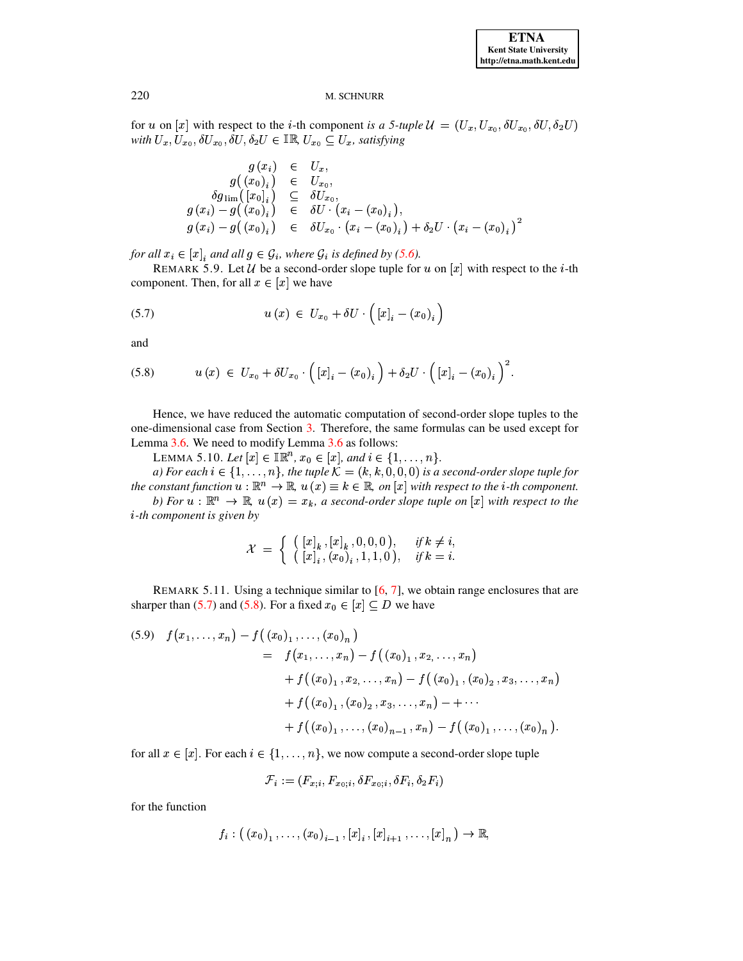for u on [x] with respect to the *i*-th component is a 5-tuple  $\mathcal{U} = (U_x, U_{x_0}, \delta U_{x_0}, \delta U, \delta_2 U)$ with  $U_x, U_{x_0}, \delta U_{x_0}, \delta U, \delta_2 U \in \mathbb{IR}, U_{x_0} \subseteq U_x$ , satisfying

$$
g(x_i) \in U_x, \n g((x_0)_i) \in U_{x_0}, \n \delta g_{\lim}([x_0]_i) \subseteq \delta U_{x_0}, \n g(x_i) - g((x_0)_i) \in \delta U \cdot (x_i - (x_0)_i), \n g(x_i) - g((x_0)_i) \in \delta U_{x_0} \cdot (x_i - (x_0)_i) + \delta_2 U \cdot (x_i - (x_0)_i)^2
$$

for all  $x_i \in [x]$ , and all  $g \in \mathcal{G}_i$ , where  $\mathcal{G}_i$  is defined by (5.6).

<span id="page-17-0"></span>REMARK 5.9. Let U be a second-order slope tuple for u on |x| with respect to the i-th component. Then, for all  $x \in [x]$  we have

$$
(5.7) \t u(x) \in U_{x_0} + \delta U \cdot \left( \left[ x \right]_i - \left( x_0 \right)_i \right)
$$

<span id="page-17-1"></span>and

$$
(5.8) \t u(x) \in U_{x_0} + \delta U_{x_0} \cdot ([x]_i - (x_0)_i) + \delta_2 U \cdot ([x]_i - (x_0)_i)^2.
$$

Hence, we have reduced the automatic computation of second-order slope tuples to the one-dimensional case from Section 3. Therefore, the same formulas can be used except for Lemma 3.6. We need to modify Lemma 3.6 as follows:

LEMMA 5.10. Let  $[x] \in \mathbb{IR}^n$ ,  $x_0 \in [x]$ , and  $i \in \{1, ..., n\}$ .

a) For each  $i \in \{1, ..., n\}$ , the tuple  $\mathcal{K} = (k, k, 0, 0, 0)$  is a second-order slope tuple for the constant function  $u : \mathbb{R}^n \to \mathbb{R}$ ,  $u(x) \equiv k \in \mathbb{R}$ , on [x] with respect to the *i*-th component. b) For  $u : \mathbb{R}^n \to \mathbb{R}$ ,  $u(x) = x_k$ , a second-order slope tuple on  $[x]$  with respect to the  $i$ -th component is given by

$$
\mathcal{X} = \left\{ \begin{array}{ll} ([x]_k, [x]_k, 0, 0, 0), & \text{if } k \neq i, \\ ([x]_i, (x_0)_i, 1, 1, 0), & \text{if } k = i. \end{array} \right.
$$

<span id="page-17-3"></span>REMARK 5.11. Using a technique similar to  $[6, 7]$ , we obtain range enclosures that are sharper than (5.7) and (5.8). For a fixed  $x_0 \in [x] \subseteq D$  we have

<span id="page-17-2"></span>
$$
(5.9) \quad f(x_1, \ldots, x_n) - f((x_0)_1, \ldots, (x_0)_n)
$$
  
=  $f(x_1, \ldots, x_n) - f((x_0)_1, x_2, \ldots, x_n)$   
+  $f((x_0)_1, x_2, \ldots, x_n) - f((x_0)_1, (x_0)_2, x_3, \ldots, x_n)$   
+  $f((x_0)_1, (x_0)_2, x_3, \ldots, x_n) - + \cdots$   
+  $f((x_0)_1, \ldots, (x_0)_{n-1}, x_n) - f((x_0)_1, \ldots, (x_0)_n).$ 

for all  $x \in [x]$ . For each  $i \in \{1, ..., n\}$ , we now compute a second-order slope tuple

$$
\mathcal{F}_i := (F_{x;i}, F_{x_0;i}, \delta F_{x_0;i}, \delta F_i, \delta_2 F_i)
$$

for the function

$$
f_i: ((x_0)_1, \ldots, (x_0)_{i-1}, [x]_i, [x]_{i+1}, \ldots, [x]_n) \to \mathbb{R},
$$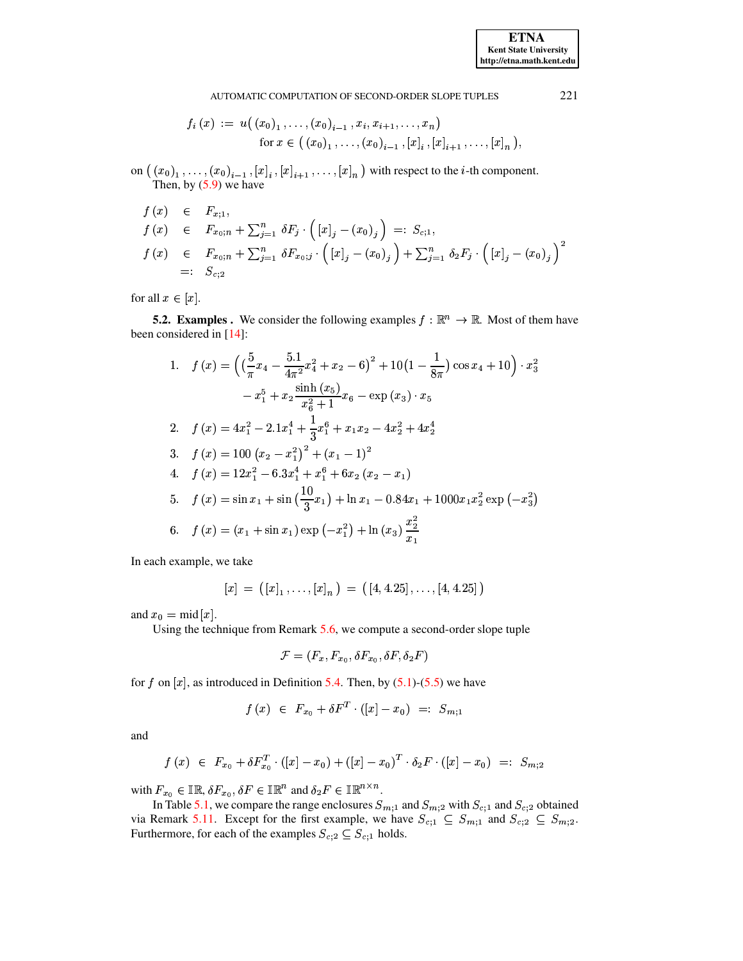**ETNA Kent State University** http://etna.math.kent.edu

### AUTOMATIC COMPUTATION OF SECOND-ORDER SLOPE TUPLES

$$
f_i(x) := u((x_0)_1, \ldots, (x_0)_{i-1}, x_i, x_{i+1}, \ldots, x_n)
$$
  
for  $x \in ((x_0)_1, \ldots, (x_0)_{i-1}, [x]_i, [x]_{i+1}, \ldots, [x]_n),$ 

on  $((x_0)_1, \ldots, (x_0)_{i-1}, [x]_i, [x]_{i+1}, \ldots, [x]_n)$  with respect to the *i*-th component. Then, by  $(5.9)$  we have

$$
f(x) \in F_{x;1},
$$
  
\n
$$
f(x) \in F_{x_0; n} + \sum_{j=1}^n \delta F_j \cdot ( [x]_j - (x_0)_j ) =: S_{c;1},
$$
  
\n
$$
f(x) \in F_{x_0; n} + \sum_{j=1}^n \delta F_{x_0; j} \cdot ( [x]_j - (x_0)_j ) + \sum_{j=1}^n \delta_2 F_j \cdot ( [x]_j - (x_0)_j )^2
$$
  
\n
$$
=: S_{c;2}
$$

for all  $x \in [x]$ .

**5.2. Examples .** We consider the following examples  $f : \mathbb{R}^n \to \mathbb{R}$ . Most of them have been considered in [14]:

1. 
$$
f(x) = \left( \left( \frac{5}{\pi} x_4 - \frac{5 \cdot 1}{4\pi^2} x_4^2 + x_2 - 6 \right)^2 + 10 \left( 1 - \frac{1}{8\pi} \right) \cos x_4 + 10 \right) \cdot x_3^2
$$

$$
- x_1^5 + x_2 \frac{\sinh(x_5)}{x_6^2 + 1} x_6 - \exp(x_3) \cdot x_5
$$
  
2. 
$$
f(x) = 4x_1^2 - 2 \cdot 1 x_1^4 + \frac{1}{3} x_1^6 + x_1 x_2 - 4x_2^2 + 4x_2^4
$$
  
3. 
$$
f(x) = 100 \left( x_2 - x_1^2 \right)^2 + \left( x_1 - 1 \right)^2
$$
  
4. 
$$
f(x) = 12x_1^2 - 6 \cdot 3x_1^4 + x_1^6 + 6x_2 (x_2 - x_1)
$$
  
5. 
$$
f(x) = \sin x_1 + \sin \left( \frac{10}{3} x_1 \right) + \ln x_1 - 0.84x_1 + 1000 x_1 x_2^2 \exp(-x_3^2)
$$
  
6. 
$$
f(x) = (x_1 + \sin x_1) \exp(-x_1^2) + \ln(x_3) \frac{x_2^2}{x_1}
$$

In each example, we take

$$
[x] = ([x]_1, \ldots, [x]_n) = ([4, 4.25], \ldots, [4, 4.25])
$$

and  $x_0 = \text{mid}[x]$ .

Using the technique from Remark  $5.6$ , we compute a second-order slope tuple

$$
\mathcal{F}=(F_x,F_{x_0},\delta F_{x_0},\delta F,\delta_2 F)
$$

for f on  $[x]$ , as introduced in Definition 5.4. Then, by (5.1)-(5.5) we have

$$
f\left(x\right) \;\in\; F_{x_0} + \delta F^T \cdot \left(\left[x\right] - x_0\right) \;\; =: \;\; S_{m\,;\, 1}
$$

and

$$
f(x) \in F_{x_0} + \delta F_{x_0}^T \cdot ([x] - x_0) + ([x] - x_0)^T \cdot \delta_2 F \cdot ([x] - x_0) =: S_{m;2}
$$

with  $F_{x_0} \in \mathbb{IR}, \delta F_{x_0}, \delta F \in \mathbb{IR}^n$  and  $\delta_2 F \in \mathbb{IR}^{n \times n}$ .

In Table 5.1, we compare the range enclosures  $S_{m;1}$  and  $S_{m;2}$  with  $S_{c;1}$  and  $S_{c;2}$  obtained via Remark 5.11. Except for the first example, we have  $S_{c,1} \subseteq S_{m,1}$  and  $S_{c,2} \subseteq S_{m,2}$ . Furthermore, for each of the examples  $S_{c,2} \subseteq S_{c,1}$  holds.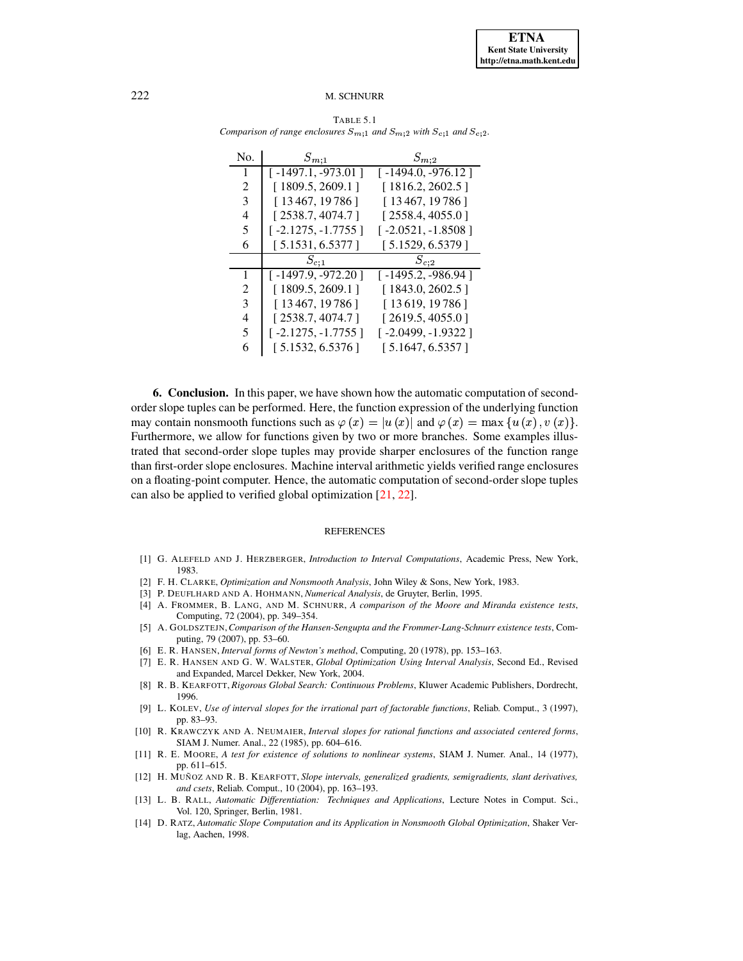<span id="page-19-14"></span>

| Comparison of range enclosures $S_{m,1}$ and $S_{m,2}$ with $S_{c,1}$ and $S_{c,2}$ . |                      |                      |  |  |
|---------------------------------------------------------------------------------------|----------------------|----------------------|--|--|
| No.                                                                                   | $S_{m;1}$            | $S_{m,2}$            |  |  |
| 1                                                                                     | [ -1497.1, -973.01 ] | $[-1494.0, -976.12]$ |  |  |
| 2                                                                                     | [1809.5, 2609.1]     | [1816.2, 2602.5]     |  |  |
| 3                                                                                     | [13467, 19786]       | [13467, 19786]       |  |  |
| 4                                                                                     | [2538.7, 4074.7]     | [2558.4, 4055.0]     |  |  |
| 5                                                                                     | [ -2.1275, -1.7755 ] | $[-2.0521, -1.8508]$ |  |  |
| 6                                                                                     | [ 5.1531, 6.5377 ]   | [5.1529, 6.5379]     |  |  |
|                                                                                       | $S_{c,1}$            | $S_{c,2}$            |  |  |
| 1                                                                                     | [-1497.9, -972.20]   | $[-1495.2, -986.94]$ |  |  |
| $\mathcal{D}_{\mathcal{L}}$                                                           | [1809.5, 2609.1]     | [1843.0, 2602.5]     |  |  |
| 3                                                                                     | [13467, 19786]       | [13619, 19786]       |  |  |
| 4                                                                                     | [2538.7, 4074.7]     | [2619.5, 4055.0]     |  |  |
| 5                                                                                     | [ -2.1275, -1.7755 ] | $[-2.0499, -1.9322]$ |  |  |
| 6                                                                                     | [5.1532, 6.5376]     | [5.1647, 6.5357]     |  |  |
|                                                                                       |                      |                      |  |  |

TABLE 5.1

**6. Conclusion.** In this paper, we have shown how the automatic computation of secondorder slope tuples can be performed. Here, the function expression of the underlying function may contain nonsmooth functions such as  $\varphi(x) = |u(x)|$  and  $\varphi(x) = \max\{u(x), v(x)\}.$ Furthermore, we allow for functions given by two or more branches. Some examples illustrated that second-order slope tuples may provide sharper enclosures of the function range than first-order slope enclosures. Machine interval arithmetic yields verified range enclosures on a floating-point computer. Hence, the automatic computation of second-order slope tuples can also be applied to verified global optimization [\[21,](#page-20-4) [22\]](#page-20-6).

### REFERENCES

- <span id="page-19-12"></span><span id="page-19-1"></span>[1] G. ALEFELD AND J. HERZBERGER, *Introduction to Interval Computations*, Academic Press, New York, 1983.
- <span id="page-19-10"></span>[2] F. H. CLARKE, *Optimization and Nonsmooth Analysis*, John Wiley & Sons, New York, 1983.
- <span id="page-19-4"></span>[3] P. DEUFLHARD AND A. HOHMANN, *Numerical Analysis*, de Gruyter, Berlin, 1995.
- [4] A. FROMMER, B. LANG, AND M. SCHNURR, *A comparison of the Moore and Miranda existence tests*, Computing, 72 (2004), pp. 349–354.
- <span id="page-19-5"></span>[5] A. GOLDSZTEJN,*Comparison of the Hansen-Sengupta and the Frommer-Lang-Schnurr existence tests*, Computing, 79 (2007), pp. 53–60.
- <span id="page-19-13"></span><span id="page-19-7"></span>[6] E. R. HANSEN, *Interval forms of Newton's method*, Computing, 20 (1978), pp. 153–163.
- [7] E. R. HANSEN AND G. W. WALSTER, *Global Optimization Using Interval Analysis*, Second Ed., Revised and Expanded, Marcel Dekker, New York, 2004.
- <span id="page-19-8"></span>[8] R. B. KEARFOTT, *Rigorous Global Search: Continuous Problems*, Kluwer Academic Publishers, Dordrecht, 1996.
- <span id="page-19-9"></span>[9] L. KOLEV, *Use of interval slopes for the irrational part of factorable functions*, Reliab. Comput., 3 (1997), pp. 83–93.
- <span id="page-19-2"></span>[10] R. KRAWCZYK AND A. NEUMAIER, *Interval slopes for rational functions and associated centered forms*, SIAM J. Numer. Anal., 22 (1985), pp. 604–616.
- <span id="page-19-6"></span>[11] R. E. MOORE, *A test for existence of solutions to nonlinear systems*, SIAM J. Numer. Anal., 14 (1977), pp. 611–615.
- <span id="page-19-11"></span>[12] H. MUN˜ OZ AND R. B. KEARFOTT, *Slope intervals, generalized gradients, semigradients, slant derivatives, and csets*, Reliab. Comput., 10 (2004), pp. 163–193.
- <span id="page-19-0"></span>[13] L. B. RALL, *Automatic Differentiation: Techniques and Applications*, Lecture Notes in Comput. Sci., Vol. 120, Springer, Berlin, 1981.
- <span id="page-19-3"></span>[14] D. RATZ, *Automatic Slope Computation and its Application in Nonsmooth Global Optimization*, Shaker Verlag, Aachen, 1998.